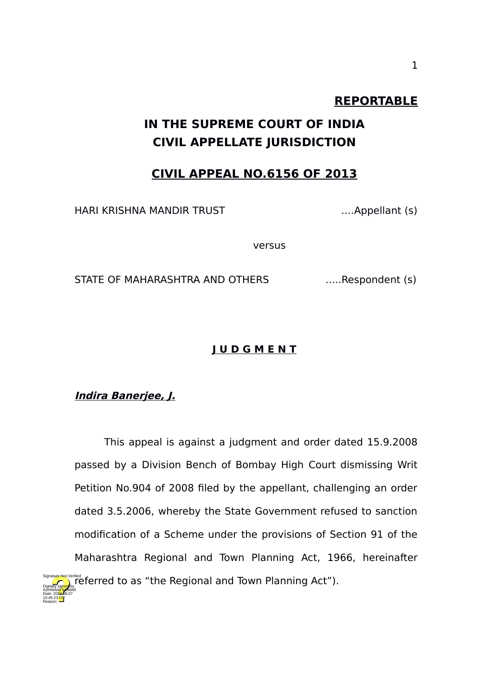## **REPORTABLE**

# **IN THE SUPREME COURT OF INDIA CIVIL APPELLATE JURISDICTION**

## **CIVIL APPEAL NO.6156 OF 2013**

HARI KRISHNA MANDIR TRUST ….Appellant (s)

versus

STATE OF MAHARASHTRA AND OTHERS ......Respondent (s)

#### **J U D G M E N T**

#### **Indira Banerjee, J.**

15:45:23 IST Reason:

This appeal is against a judgment and order dated 15.9.2008 passed by a Division Bench of Bombay High Court dismissing Writ Petition No.904 of 2008 filed by the appellant, challenging an order dated 3.5.2006, whereby the State Government refused to sanction modification of a Scheme under the provisions of Section 91 of the Maharashtra Regional and Town Planning Act, 1966, hereinafter Signature Net Verified to as "the Regional and Town Planning Act"). Digitally signed by ASHWAN<mark>I KU</mark>MAR Date: 2020.08.07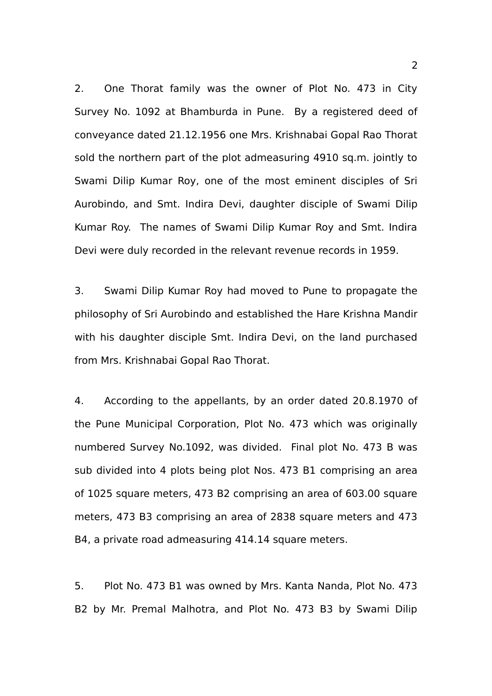2. One Thorat family was the owner of Plot No. 473 in City Survey No. 1092 at Bhamburda in Pune. By a registered deed of conveyance dated 21.12.1956 one Mrs. Krishnabai Gopal Rao Thorat sold the northern part of the plot admeasuring 4910 sq.m. jointly to Swami Dilip Kumar Roy, one of the most eminent disciples of Sri Aurobindo, and Smt. Indira Devi, daughter disciple of Swami Dilip Kumar Roy. The names of Swami Dilip Kumar Roy and Smt. Indira Devi were duly recorded in the relevant revenue records in 1959.

3. Swami Dilip Kumar Roy had moved to Pune to propagate the philosophy of Sri Aurobindo and established the Hare Krishna Mandir with his daughter disciple Smt. Indira Devi, on the land purchased from Mrs. Krishnabai Gopal Rao Thorat.

4. According to the appellants, by an order dated 20.8.1970 of the Pune Municipal Corporation, Plot No. 473 which was originally numbered Survey No.1092, was divided. Final plot No. 473 B was sub divided into 4 plots being plot Nos. 473 B1 comprising an area of 1025 square meters, 473 B2 comprising an area of 603.00 square meters, 473 B3 comprising an area of 2838 square meters and 473 B4, a private road admeasuring 414.14 square meters.

5. Plot No. 473 B1 was owned by Mrs. Kanta Nanda, Plot No. 473 B2 by Mr. Premal Malhotra, and Plot No. 473 B3 by Swami Dilip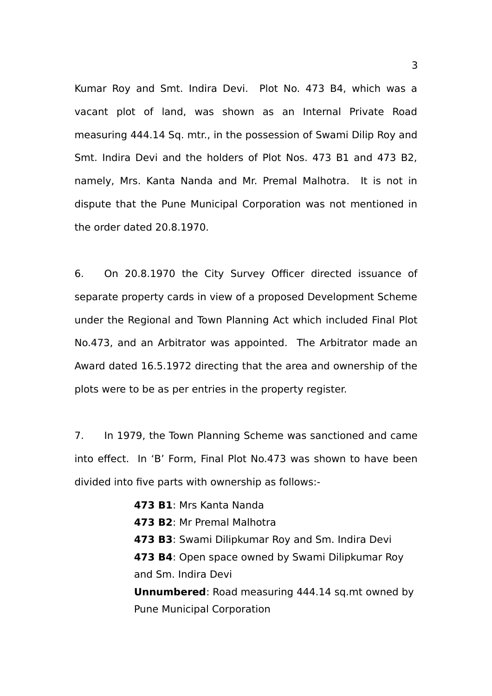Kumar Roy and Smt. Indira Devi. Plot No. 473 B4, which was a vacant plot of land, was shown as an Internal Private Road measuring 444.14 Sq. mtr., in the possession of Swami Dilip Roy and Smt. Indira Devi and the holders of Plot Nos. 473 B1 and 473 B2, namely, Mrs. Kanta Nanda and Mr. Premal Malhotra. It is not in dispute that the Pune Municipal Corporation was not mentioned in the order dated 20.8.1970.

6. On 20.8.1970 the City Survey Officer directed issuance of separate property cards in view of a proposed Development Scheme under the Regional and Town Planning Act which included Final Plot No.473, and an Arbitrator was appointed. The Arbitrator made an Award dated 16.5.1972 directing that the area and ownership of the plots were to be as per entries in the property register.

7. In 1979, the Town Planning Scheme was sanctioned and came into effect. In 'B' Form, Final Plot No.473 was shown to have been divided into five parts with ownership as follows:-

> **473 B1**: Mrs Kanta Nanda **473 B2**: Mr Premal Malhotra **473 B3**: Swami Dilipkumar Roy and Sm. Indira Devi **473 B4**: Open space owned by Swami Dilipkumar Roy and Sm. Indira Devi **Unnumbered**: Road measuring 444.14 sq.mt owned by Pune Municipal Corporation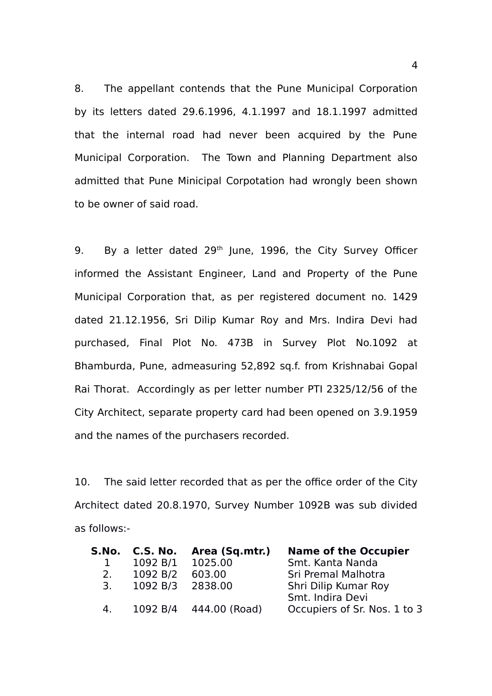8. The appellant contends that the Pune Municipal Corporation by its letters dated 29.6.1996, 4.1.1997 and 18.1.1997 admitted that the internal road had never been acquired by the Pune Municipal Corporation. The Town and Planning Department also admitted that Pune Minicipal Corpotation had wrongly been shown to be owner of said road.

9. By a letter dated 29<sup>th</sup> June, 1996, the City Survey Officer informed the Assistant Engineer, Land and Property of the Pune Municipal Corporation that, as per registered document no. 1429 dated 21.12.1956, Sri Dilip Kumar Roy and Mrs. Indira Devi had purchased, Final Plot No. 473B in Survey Plot No.1092 at Bhamburda, Pune, admeasuring 52,892 sq.f. from Krishnabai Gopal Rai Thorat. Accordingly as per letter number PTI 2325/12/56 of the City Architect, separate property card had been opened on 3.9.1959 and the names of the purchasers recorded.

10. The said letter recorded that as per the office order of the City Architect dated 20.8.1970, Survey Number 1092B was sub divided as follows:-

| S.No. | C.S. No.         | Area (Sq.mtr.)         | <b>Name of the Occupier</b>  |
|-------|------------------|------------------------|------------------------------|
|       | 1092 B/1 1025.00 |                        | Smt. Kanta Nanda             |
| 2.    | 1092 B/2         | 603.00                 | Sri Premal Malhotra          |
| 3.    | 1092 B/3 2838.00 |                        | Shri Dilip Kumar Roy         |
|       |                  |                        | Smt. Indira Devi             |
| 4.    |                  | 1092 B/4 444.00 (Road) | Occupiers of Sr. Nos. 1 to 3 |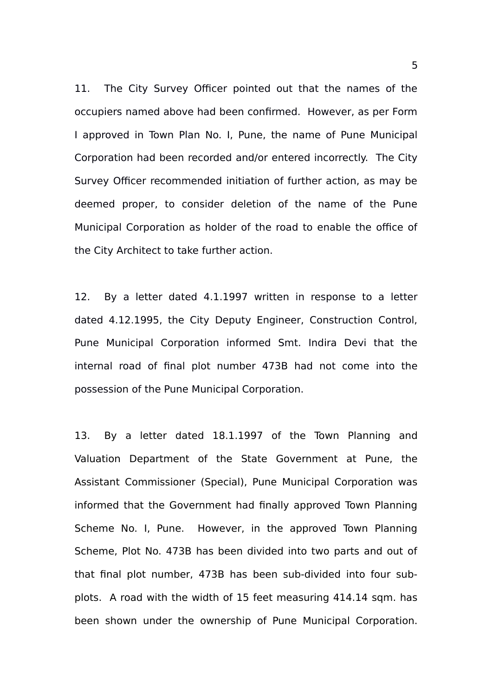11. The City Survey Officer pointed out that the names of the occupiers named above had been confirmed. However, as per Form I approved in Town Plan No. I, Pune, the name of Pune Municipal Corporation had been recorded and/or entered incorrectly. The City Survey Officer recommended initiation of further action, as may be deemed proper, to consider deletion of the name of the Pune Municipal Corporation as holder of the road to enable the office of the City Architect to take further action.

12. By a letter dated 4.1.1997 written in response to a letter dated 4.12.1995, the City Deputy Engineer, Construction Control, Pune Municipal Corporation informed Smt. Indira Devi that the internal road of final plot number 473B had not come into the possession of the Pune Municipal Corporation.

13. By a letter dated 18.1.1997 of the Town Planning and Valuation Department of the State Government at Pune, the Assistant Commissioner (Special), Pune Municipal Corporation was informed that the Government had finally approved Town Planning Scheme No. I, Pune. However, in the approved Town Planning Scheme, Plot No. 473B has been divided into two parts and out of that final plot number, 473B has been sub-divided into four subplots. A road with the width of 15 feet measuring 414.14 sqm. has been shown under the ownership of Pune Municipal Corporation.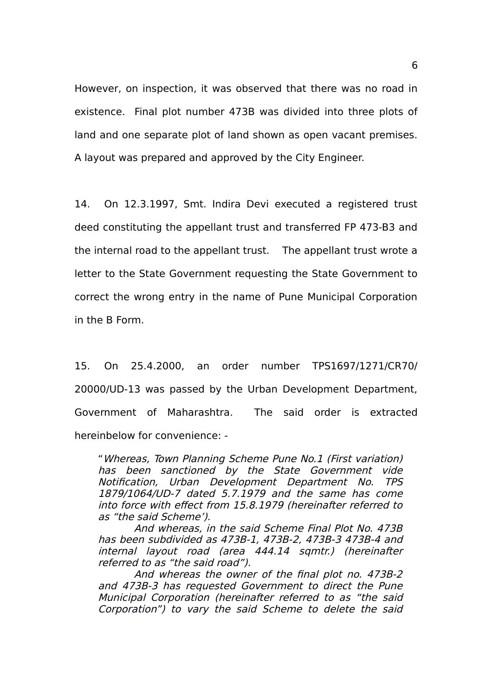However, on inspection, it was observed that there was no road in existence. Final plot number 473B was divided into three plots of land and one separate plot of land shown as open vacant premises. A layout was prepared and approved by the City Engineer.

14. On 12.3.1997, Smt. Indira Devi executed a registered trust deed constituting the appellant trust and transferred FP 473-B3 and the internal road to the appellant trust. The appellant trust wrote a letter to the State Government requesting the State Government to correct the wrong entry in the name of Pune Municipal Corporation in the B Form.

15. On 25.4.2000, an order number TPS1697/1271/CR70/ 20000/UD-13 was passed by the Urban Development Department, Government of Maharashtra. The said order is extracted hereinbelow for convenience: -

"Whereas, Town Planning Scheme Pune No.1 (First variation) has been sanctioned by the State Government vide Notification, Urban Development Department No. TPS 1879/1064/UD-7 dated 5.7.1979 and the same has come into force with effect from 15.8.1979 (hereinafter referred to as "the said Scheme').

And whereas, in the said Scheme Final Plot No. 473B has been subdivided as 473B-1, 473B-2, 473B-3 473B-4 and internal layout road (area 444.14 sqmtr.) (hereinafter referred to as "the said road").

And whereas the owner of the final plot no. 473B-2 and 473B-3 has requested Government to direct the Pune Municipal Corporation (hereinafter referred to as "the said Corporation") to vary the said Scheme to delete the said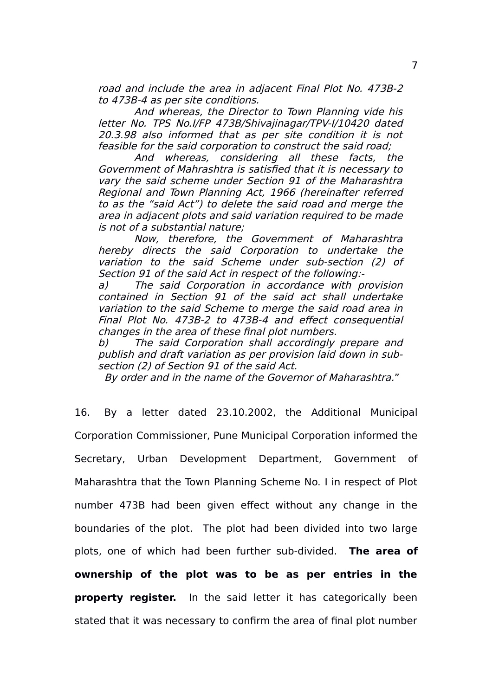road and include the area in adjacent Final Plot No. 473B-2 to 473B-4 as per site conditions.

And whereas, the Director to Town Planning vide his letter No. TPS No.I/FP 473B/Shivajinagar/TPV-I/10420 dated 20.3.98 also informed that as per site condition it is not feasible for the said corporation to construct the said road;

And whereas, considering all these facts, the Government of Mahrashtra is satisfied that it is necessary to vary the said scheme under Section 91 of the Maharashtra Regional and Town Planning Act, 1966 (hereinafter referred to as the "said Act") to delete the said road and merge the area in adjacent plots and said variation required to be made is not of a substantial nature;

Now, therefore, the Government of Maharashtra hereby directs the said Corporation to undertake the variation to the said Scheme under sub-section (2) of Section 91 of the said Act in respect of the following:-

a) The said Corporation in accordance with provision contained in Section 91 of the said act shall undertake variation to the said Scheme to merge the said road area in Final Plot No. 473B-2 to 473B-4 and effect consequential changes in the area of these final plot numbers.

b) The said Corporation shall accordingly prepare and publish and draft variation as per provision laid down in subsection (2) of Section 91 of the said Act.

By order and in the name of the Governor of Maharashtra."

16. By a letter dated 23.10.2002, the Additional Municipal Corporation Commissioner, Pune Municipal Corporation informed the Secretary, Urban Development Department, Government of Maharashtra that the Town Planning Scheme No. I in respect of Plot number 473B had been given effect without any change in the boundaries of the plot. The plot had been divided into two large plots, one of which had been further sub-divided. **The area of ownership of the plot was to be as per entries in the property register.** In the said letter it has categorically been stated that it was necessary to confirm the area of final plot number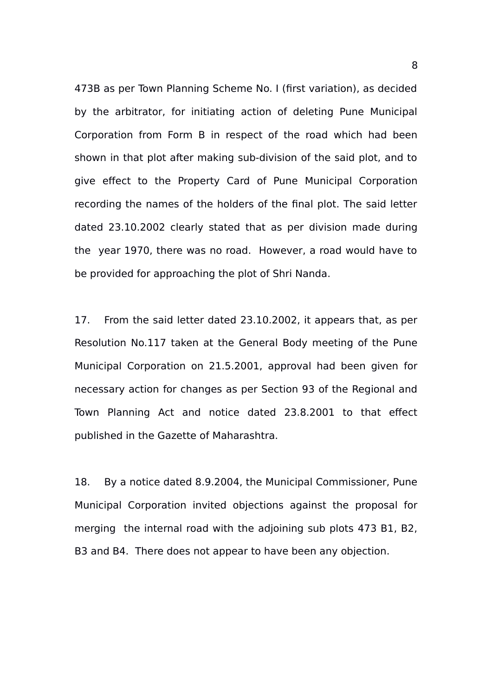473B as per Town Planning Scheme No. I (first variation), as decided by the arbitrator, for initiating action of deleting Pune Municipal Corporation from Form B in respect of the road which had been shown in that plot after making sub-division of the said plot, and to give effect to the Property Card of Pune Municipal Corporation recording the names of the holders of the final plot. The said letter dated 23.10.2002 clearly stated that as per division made during the year 1970, there was no road. However, a road would have to be provided for approaching the plot of Shri Nanda.

17. From the said letter dated 23.10.2002, it appears that, as per Resolution No.117 taken at the General Body meeting of the Pune Municipal Corporation on 21.5.2001, approval had been given for necessary action for changes as per Section 93 of the Regional and Town Planning Act and notice dated 23.8.2001 to that effect published in the Gazette of Maharashtra.

18. By a notice dated 8.9.2004, the Municipal Commissioner, Pune Municipal Corporation invited objections against the proposal for merging the internal road with the adjoining sub plots 473 B1, B2, B3 and B4. There does not appear to have been any objection.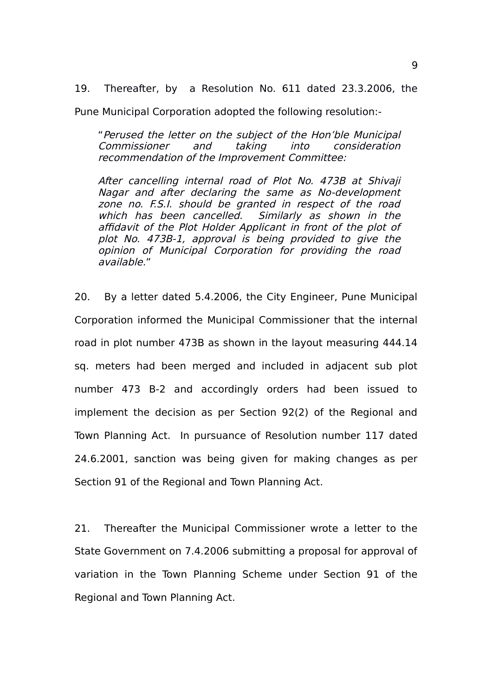19. Thereafter, by a Resolution No. 611 dated 23.3.2006, the

Pune Municipal Corporation adopted the following resolution:-

"Perused the letter on the subject of the Hon'ble Municipal Commissioner and taking into consideration recommendation of the Improvement Committee:

After cancelling internal road of Plot No. 473B at Shivaji Nagar and after declaring the same as No-development zone no. F.S.I. should be granted in respect of the road which has been cancelled. Similarly as shown in the affidavit of the Plot Holder Applicant in front of the plot of plot No. 473B-1, approval is being provided to give the opinion of Municipal Corporation for providing the road available."

20. By a letter dated 5.4.2006, the City Engineer, Pune Municipal Corporation informed the Municipal Commissioner that the internal road in plot number 473B as shown in the layout measuring 444.14 sq. meters had been merged and included in adjacent sub plot number 473 B-2 and accordingly orders had been issued to implement the decision as per Section 92(2) of the Regional and Town Planning Act. In pursuance of Resolution number 117 dated 24.6.2001, sanction was being given for making changes as per Section 91 of the Regional and Town Planning Act.

21. Thereafter the Municipal Commissioner wrote a letter to the State Government on 7.4.2006 submitting a proposal for approval of variation in the Town Planning Scheme under Section 91 of the Regional and Town Planning Act.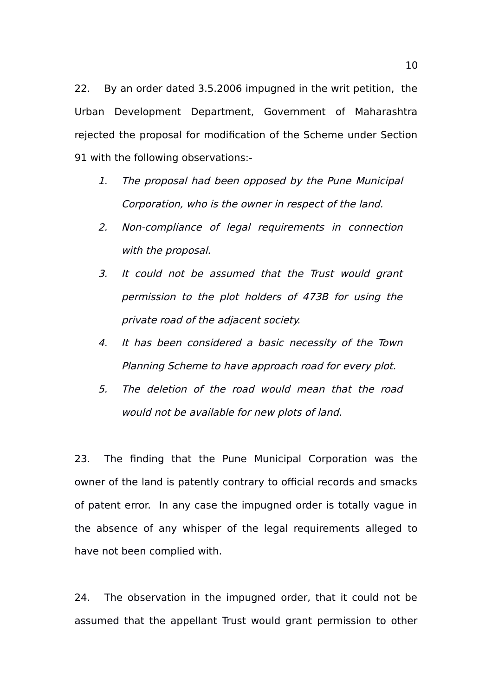22. By an order dated 3.5.2006 impugned in the writ petition, the Urban Development Department, Government of Maharashtra rejected the proposal for modification of the Scheme under Section 91 with the following observations:-

- 1. The proposal had been opposed by the Pune Municipal Corporation, who is the owner in respect of the land.
- 2. Non-compliance of legal requirements in connection with the proposal.
- 3. It could not be assumed that the Trust would grant permission to the plot holders of 473B for using the private road of the adjacent society.
- 4. It has been considered a basic necessity of the Town Planning Scheme to have approach road for every plot.
- 5. The deletion of the road would mean that the road would not be available for new plots of land.

23. The finding that the Pune Municipal Corporation was the owner of the land is patently contrary to official records and smacks of patent error. In any case the impugned order is totally vague in the absence of any whisper of the legal requirements alleged to have not been complied with.

24. The observation in the impugned order, that it could not be assumed that the appellant Trust would grant permission to other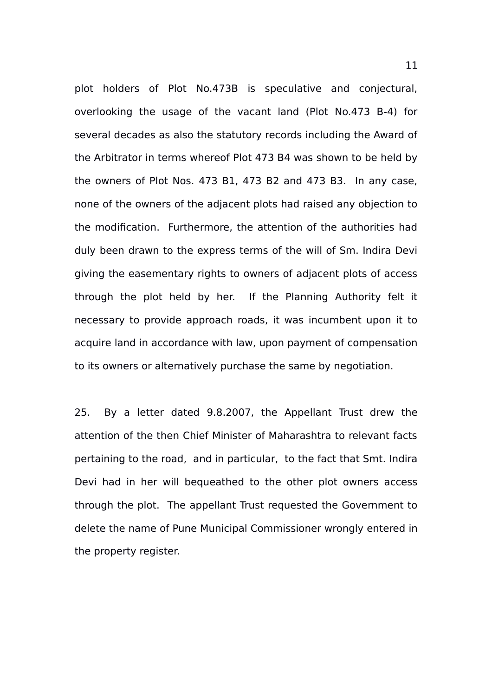plot holders of Plot No.473B is speculative and conjectural, overlooking the usage of the vacant land (Plot No.473 B-4) for several decades as also the statutory records including the Award of the Arbitrator in terms whereof Plot 473 B4 was shown to be held by the owners of Plot Nos. 473 B1, 473 B2 and 473 B3. In any case, none of the owners of the adjacent plots had raised any objection to the modification. Furthermore, the attention of the authorities had duly been drawn to the express terms of the will of Sm. Indira Devi giving the easementary rights to owners of adjacent plots of access through the plot held by her. If the Planning Authority felt it necessary to provide approach roads, it was incumbent upon it to acquire land in accordance with law, upon payment of compensation to its owners or alternatively purchase the same by negotiation.

25. By a letter dated 9.8.2007, the Appellant Trust drew the attention of the then Chief Minister of Maharashtra to relevant facts pertaining to the road, and in particular, to the fact that Smt. Indira Devi had in her will bequeathed to the other plot owners access through the plot. The appellant Trust requested the Government to delete the name of Pune Municipal Commissioner wrongly entered in the property register.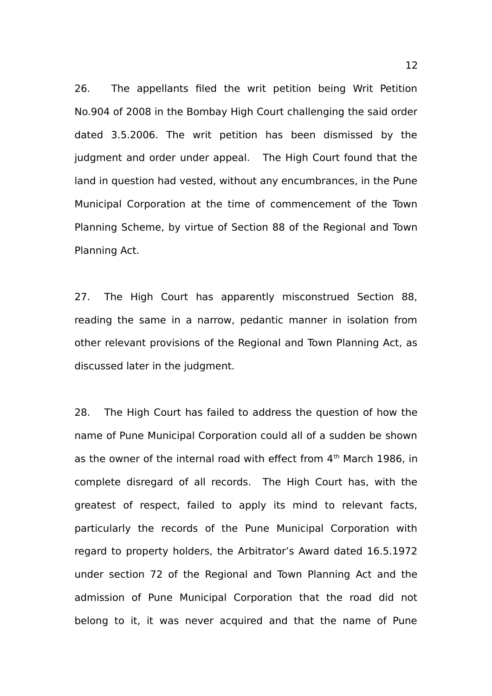26. The appellants filed the writ petition being Writ Petition No.904 of 2008 in the Bombay High Court challenging the said order dated 3.5.2006. The writ petition has been dismissed by the judgment and order under appeal. The High Court found that the land in question had vested, without any encumbrances, in the Pune Municipal Corporation at the time of commencement of the Town Planning Scheme, by virtue of Section 88 of the Regional and Town Planning Act.

27. The High Court has apparently misconstrued Section 88, reading the same in a narrow, pedantic manner in isolation from other relevant provisions of the Regional and Town Planning Act, as discussed later in the judgment.

28. The High Court has failed to address the question of how the name of Pune Municipal Corporation could all of a sudden be shown as the owner of the internal road with effect from 4<sup>th</sup> March 1986, in complete disregard of all records. The High Court has, with the greatest of respect, failed to apply its mind to relevant facts, particularly the records of the Pune Municipal Corporation with regard to property holders, the Arbitrator's Award dated 16.5.1972 under section 72 of the Regional and Town Planning Act and the admission of Pune Municipal Corporation that the road did not belong to it, it was never acquired and that the name of Pune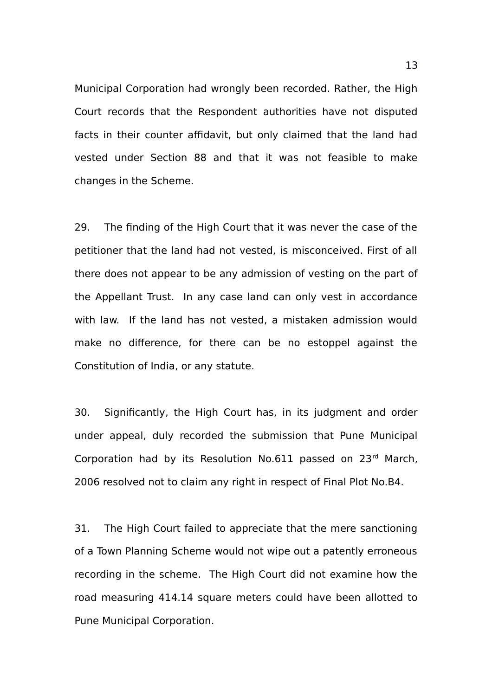Municipal Corporation had wrongly been recorded. Rather, the High Court records that the Respondent authorities have not disputed facts in their counter affidavit, but only claimed that the land had vested under Section 88 and that it was not feasible to make changes in the Scheme.

29. The finding of the High Court that it was never the case of the petitioner that the land had not vested, is misconceived. First of all there does not appear to be any admission of vesting on the part of the Appellant Trust. In any case land can only vest in accordance with law. If the land has not vested, a mistaken admission would make no difference, for there can be no estoppel against the Constitution of India, or any statute.

30. Significantly, the High Court has, in its judgment and order under appeal, duly recorded the submission that Pune Municipal Corporation had by its Resolution No.611 passed on  $23<sup>rd</sup>$  March, 2006 resolved not to claim any right in respect of Final Plot No.B4.

31. The High Court failed to appreciate that the mere sanctioning of a Town Planning Scheme would not wipe out a patently erroneous recording in the scheme. The High Court did not examine how the road measuring 414.14 square meters could have been allotted to Pune Municipal Corporation.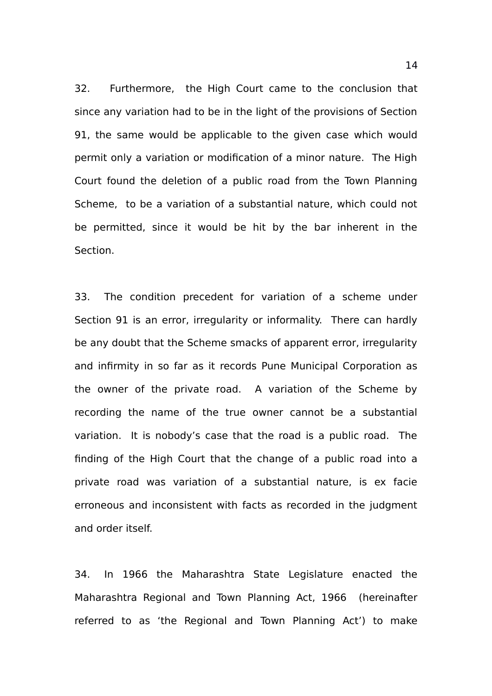32. Furthermore, the High Court came to the conclusion that since any variation had to be in the light of the provisions of Section 91, the same would be applicable to the given case which would permit only a variation or modification of a minor nature. The High Court found the deletion of a public road from the Town Planning Scheme, to be a variation of a substantial nature, which could not be permitted, since it would be hit by the bar inherent in the Section.

33. The condition precedent for variation of a scheme under Section 91 is an error, irregularity or informality. There can hardly be any doubt that the Scheme smacks of apparent error, irregularity and infirmity in so far as it records Pune Municipal Corporation as the owner of the private road. A variation of the Scheme by recording the name of the true owner cannot be a substantial variation. It is nobody's case that the road is a public road. The finding of the High Court that the change of a public road into a private road was variation of a substantial nature, is ex facie erroneous and inconsistent with facts as recorded in the judgment and order itself.

34. In 1966 the Maharashtra State Legislature enacted the Maharashtra Regional and Town Planning Act, 1966 (hereinafter referred to as 'the Regional and Town Planning Act') to make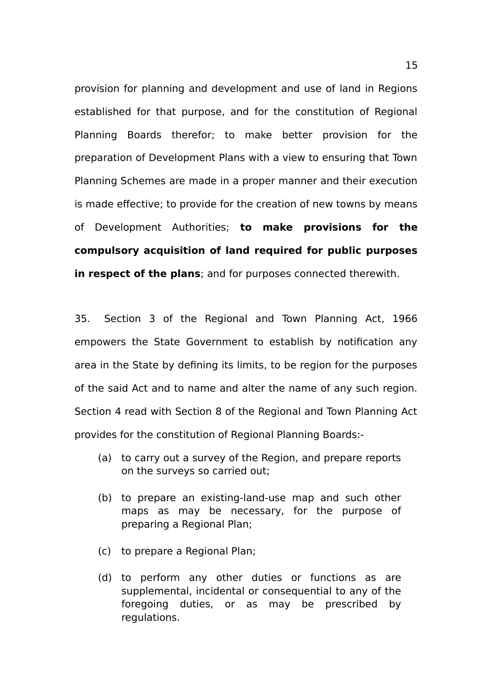provision for planning and development and use of land in Regions established for that purpose, and for the constitution of Regional Planning Boards therefor; to make better provision for the preparation of Development Plans with a view to ensuring that Town Planning Schemes are made in a proper manner and their execution is made effective; to provide for the creation of new towns by means of Development Authorities; **to make provisions for the compulsory acquisition of land required for public purposes in respect of the plans**; and for purposes connected therewith.

35. Section 3 of the Regional and Town Planning Act, 1966 empowers the State Government to establish by notification any area in the State by defining its limits, to be region for the purposes of the said Act and to name and alter the name of any such region. Section 4 read with Section 8 of the Regional and Town Planning Act provides for the constitution of Regional Planning Boards:-

- (a) to carry out a survey of the Region, and prepare reports on the surveys so carried out;
- (b) to prepare an existing-land-use map and such other maps as may be necessary, for the purpose of preparing a Regional Plan;
- (c) to prepare a Regional Plan;
- (d) to perform any other duties or functions as are supplemental, incidental or consequential to any of the foregoing duties, or as may be prescribed by regulations.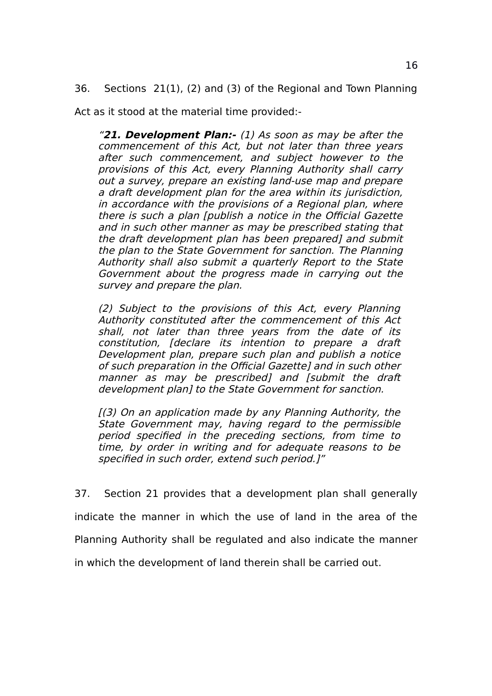36. Sections 21(1), (2) and (3) of the Regional and Town Planning

Act as it stood at the material time provided:-

"**21. Development Plan:-** (1) As soon as may be after the commencement of this Act, but not later than three years after such commencement, and subject however to the provisions of this Act, every Planning Authority shall carry out a survey, prepare an existing land-use map and prepare a draft development plan for the area within its jurisdiction, in accordance with the provisions of a Regional plan, where there is such a plan [publish a notice in the Official Gazette and in such other manner as may be prescribed stating that the draft development plan has been prepared] and submit the plan to the State Government for sanction. The Planning Authority shall also submit a quarterly Report to the State Government about the progress made in carrying out the survey and prepare the plan.

(2) Subject to the provisions of this Act, every Planning Authority constituted after the commencement of this Act shall, not later than three years from the date of its constitution, [declare its intention to prepare <sup>a</sup> draft Development plan, prepare such plan and publish a notice of such preparation in the Official Gazette] and in such other manner as may be prescribed] and [submit the draft development plan] to the State Government for sanction.

[(3) On an application made by any Planning Authority, the State Government may, having regard to the permissible period specified in the preceding sections, from time to time, by order in writing and for adequate reasons to be specified in such order, extend such period.]"

37. Section 21 provides that a development plan shall generally indicate the manner in which the use of land in the area of the Planning Authority shall be regulated and also indicate the manner in which the development of land therein shall be carried out.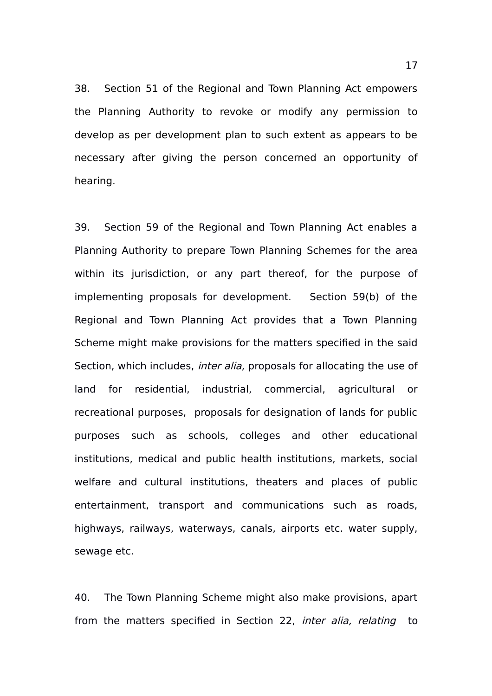38. Section 51 of the Regional and Town Planning Act empowers the Planning Authority to revoke or modify any permission to develop as per development plan to such extent as appears to be necessary after giving the person concerned an opportunity of hearing.

39. Section 59 of the Regional and Town Planning Act enables a Planning Authority to prepare Town Planning Schemes for the area within its jurisdiction, or any part thereof, for the purpose of implementing proposals for development. Section 59(b) of the Regional and Town Planning Act provides that a Town Planning Scheme might make provisions for the matters specified in the said Section, which includes, *inter alia*, proposals for allocating the use of land for residential, industrial, commercial, agricultural or recreational purposes, proposals for designation of lands for public purposes such as schools, colleges and other educational institutions, medical and public health institutions, markets, social welfare and cultural institutions, theaters and places of public entertainment, transport and communications such as roads, highways, railways, waterways, canals, airports etc. water supply, sewage etc.

40. The Town Planning Scheme might also make provisions, apart from the matters specified in Section 22, *inter alia, relating* to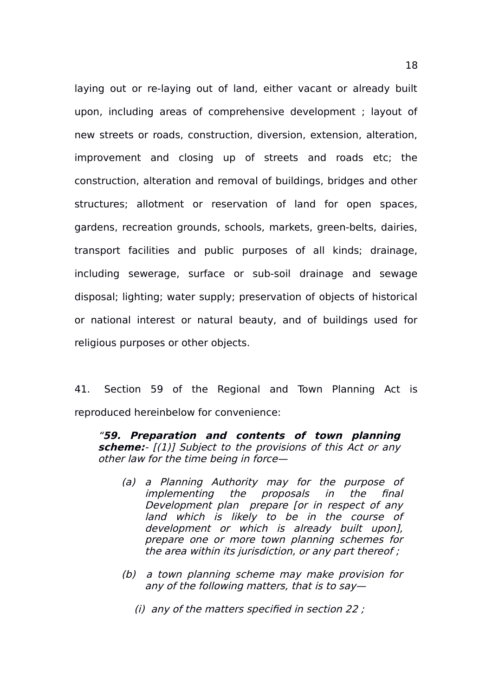laying out or re-laying out of land, either vacant or already built upon, including areas of comprehensive development ; layout of new streets or roads, construction, diversion, extension, alteration, improvement and closing up of streets and roads etc; the construction, alteration and removal of buildings, bridges and other structures; allotment or reservation of land for open spaces, gardens, recreation grounds, schools, markets, green-belts, dairies, transport facilities and public purposes of all kinds; drainage, including sewerage, surface or sub-soil drainage and sewage disposal; lighting; water supply; preservation of objects of historical or national interest or natural beauty, and of buildings used for religious purposes or other objects.

41. Section 59 of the Regional and Town Planning Act is reproduced hereinbelow for convenience:

"**59. Preparation and contents of town planning scheme:**- [(1)] Subject to the provisions of this Act or any other law for the time being in force—

- (a) <sup>a</sup> Planning Authority may for the purpose of implementing the proposals in the final Development plan prepare [or in respect of any land which is likely to be in the course of development or which is already built upon], prepare one or more town planning schemes for the area within its jurisdiction, or any part thereof ;
- (b) a town planning scheme may make provision for any of the following matters, that is to say—
	- (i) any of the matters specified in section 22 ;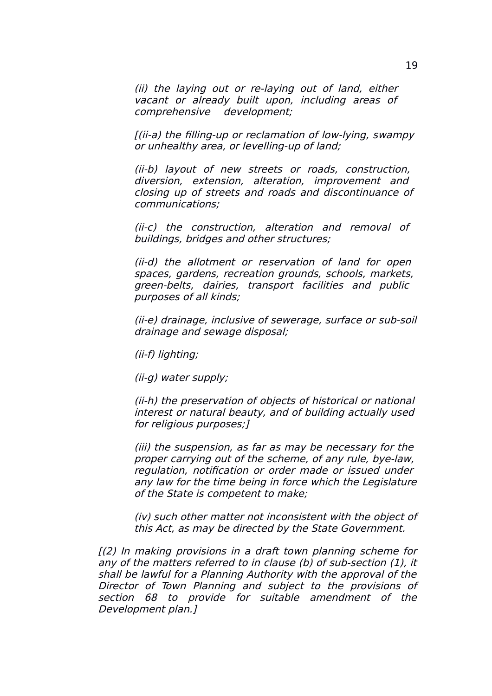(ii) the laying out or re-laying out of land, either vacant or already built upon, including areas of comprehensive development;

[(ii-a) the filling-up or reclamation of low-lying, swampy or unhealthy area, or levelling-up of land;

(ii-b) layout of new streets or roads, construction, diversion, extension, alteration, improvement and closing up of streets and roads and discontinuance of communications;

(ii-c) the construction, alteration and removal of buildings, bridges and other structures;

(ii-d) the allotment or reservation of land for open spaces, gardens, recreation grounds, schools, markets, green-belts, dairies, transport facilities and public purposes of all kinds;

(ii-e) drainage, inclusive of sewerage, surface or sub-soil drainage and sewage disposal;

(ii-f) lighting;

(ii-g) water supply;

(ii-h) the preservation of objects of historical or national interest or natural beauty, and of building actually used for religious purposes;]

(iii) the suspension, as far as may be necessary for the proper carrying out of the scheme, of any rule, bye-law, regulation, notification or order made or issued under any law for the time being in force which the Legislature of the State is competent to make;

(iv) such other matter not inconsistent with the object of this Act, as may be directed by the State Government.

[(2) In making provisions in a draft town planning scheme for any of the matters referred to in clause (b) of sub-section (1), it shall be lawful for a Planning Authority with the approval of the Director of Town Planning and subject to the provisions of section 68 to provide for suitable amendment of the Development plan.]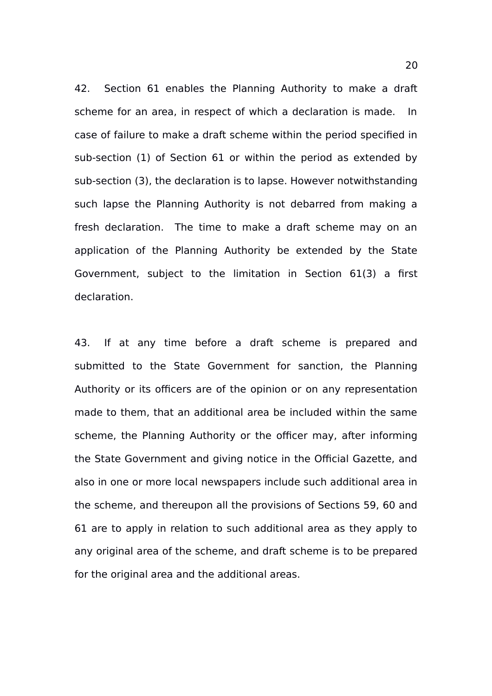42. Section 61 enables the Planning Authority to make a draft scheme for an area, in respect of which a declaration is made. In case of failure to make a draft scheme within the period specified in sub-section (1) of Section 61 or within the period as extended by sub-section (3), the declaration is to lapse. However notwithstanding such lapse the Planning Authority is not debarred from making a fresh declaration. The time to make a draft scheme may on an application of the Planning Authority be extended by the State Government, subject to the limitation in Section 61(3) a first declaration.

43. If at any time before a draft scheme is prepared and submitted to the State Government for sanction, the Planning Authority or its officers are of the opinion or on any representation made to them, that an additional area be included within the same scheme, the Planning Authority or the officer may, after informing the State Government and giving notice in the Official Gazette, and also in one or more local newspapers include such additional area in the scheme, and thereupon all the provisions of Sections 59, 60 and 61 are to apply in relation to such additional area as they apply to any original area of the scheme, and draft scheme is to be prepared for the original area and the additional areas.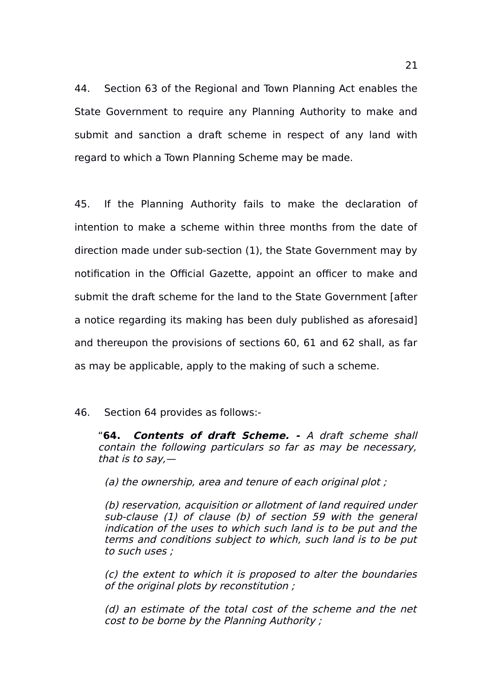44. Section 63 of the Regional and Town Planning Act enables the State Government to require any Planning Authority to make and submit and sanction a draft scheme in respect of any land with regard to which a Town Planning Scheme may be made.

45. If the Planning Authority fails to make the declaration of intention to make a scheme within three months from the date of direction made under sub-section (1), the State Government may by notification in the Official Gazette, appoint an officer to make and submit the draft scheme for the land to the State Government [after a notice regarding its making has been duly published as aforesaid] and thereupon the provisions of sections 60, 61 and 62 shall, as far as may be applicable, apply to the making of such a scheme.

#### 46. Section 64 provides as follows:-

"**64. Contents of draft Scheme. -** A draft scheme shall contain the following particulars so far as may be necessary, that is to say. $-$ 

(a) the ownership, area and tenure of each original plot;

(b) reservation, acquisition or allotment of land required under sub-clause (1) of clause (b) of section 59 with the general indication of the uses to which such land is to be put and the terms and conditions subject to which, such land is to be put to such uses ;

(c) the extent to which it is proposed to alter the boundaries of the original plots by reconstitution ;

(d) an estimate of the total cost of the scheme and the net cost to be borne by the Planning Authority ;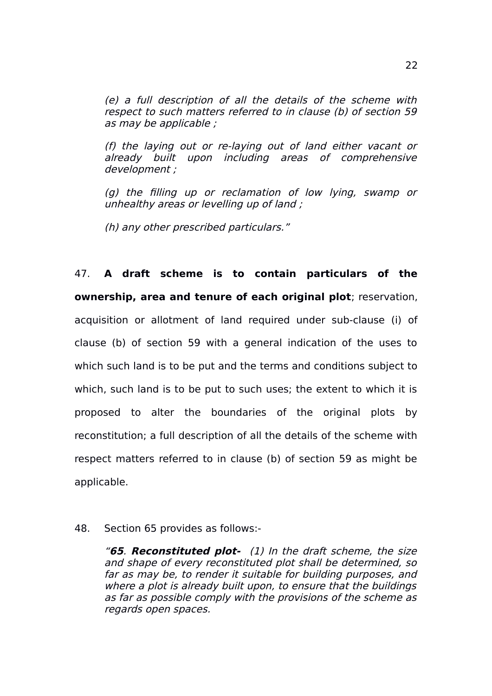(e) a full description of all the details of the scheme with respect to such matters referred to in clause (b) of section 59 as may be applicable ;

(f) the laying out or re-laying out of land either vacant or already built upon including areas of comprehensive development ;

(g) the filling up or reclamation of low lying, swamp or unhealthy areas or levelling up of land ;

(h) any other prescribed particulars."

47. **A draft scheme is to contain particulars of the ownership, area and tenure of each original plot**; reservation, acquisition or allotment of land required under sub-clause (i) of clause (b) of section 59 with a general indication of the uses to which such land is to be put and the terms and conditions subject to which, such land is to be put to such uses; the extent to which it is proposed to alter the boundaries of the original plots by reconstitution; a full description of all the details of the scheme with respect matters referred to in clause (b) of section 59 as might be applicable.

#### 48. Section 65 provides as follows:-

"**65**. **Reconstituted plot-** (1) In the draft scheme, the size and shape of every reconstituted plot shall be determined, so far as may be, to render it suitable for building purposes, and where a plot is already built upon, to ensure that the buildings as far as possible comply with the provisions of the scheme as regards open spaces.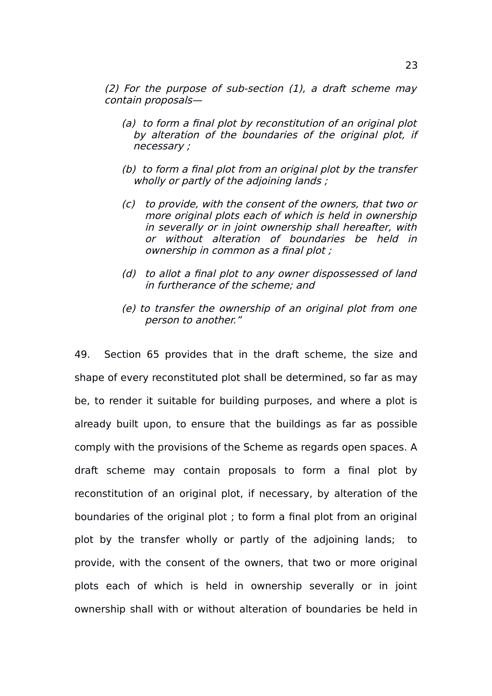(2) For the purpose of sub-section  $(1)$ , a draft scheme mav contain proposals—

- (a) to form a final plot by reconstitution of an original plot by alteration of the boundaries of the original plot, if necessary ;
- (b) to form a final plot from an original plot by the transfer wholly or partly of the adjoining lands;
- (c) to provide, with the consent of the owners, that two or more original plots each of which is held in ownership in severally or in joint ownership shall hereafter, with or without alteration of boundaries be held in ownership in common as a final plot ;
- (d) to allot a final plot to any owner dispossessed of land in furtherance of the scheme; and
- (e) to transfer the ownership of an original plot from one person to another."

49. Section 65 provides that in the draft scheme, the size and shape of every reconstituted plot shall be determined, so far as may be, to render it suitable for building purposes, and where a plot is already built upon, to ensure that the buildings as far as possible comply with the provisions of the Scheme as regards open spaces. A draft scheme may contain proposals to form a final plot by reconstitution of an original plot, if necessary, by alteration of the boundaries of the original plot ; to form a final plot from an original plot by the transfer wholly or partly of the adjoining lands; to provide, with the consent of the owners, that two or more original plots each of which is held in ownership severally or in joint ownership shall with or without alteration of boundaries be held in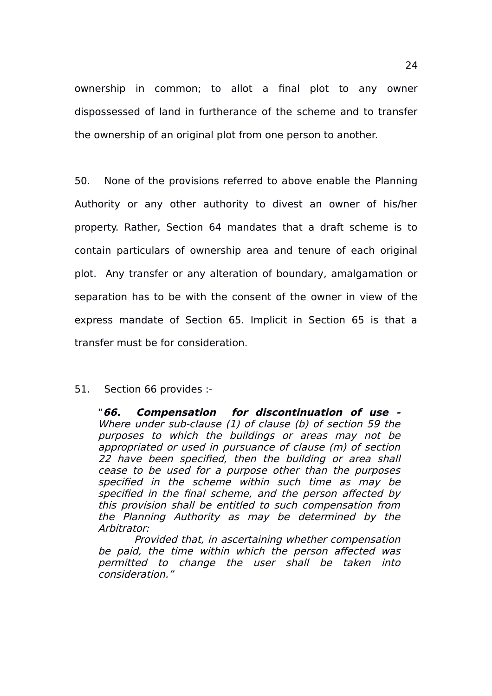ownership in common; to allot a final plot to any owner dispossessed of land in furtherance of the scheme and to transfer the ownership of an original plot from one person to another.

50. None of the provisions referred to above enable the Planning Authority or any other authority to divest an owner of his/her property. Rather, Section 64 mandates that a draft scheme is to contain particulars of ownership area and tenure of each original plot. Any transfer or any alteration of boundary, amalgamation or separation has to be with the consent of the owner in view of the express mandate of Section 65. Implicit in Section 65 is that a transfer must be for consideration.

#### 51. Section 66 provides :-

"**66. Compensation for discontinuation of use -** Where under sub-clause (1) of clause (b) of section 59 the purposes to which the buildings or areas may not be appropriated or used in pursuance of clause (m) of section 22 have been specified, then the building or area shall cease to be used for a purpose other than the purposes specified in the scheme within such time as may be specified in the final scheme, and the person affected by this provision shall be entitled to such compensation from the Planning Authority as may be determined by the Arbitrator:

Provided that, in ascertaining whether compensation be paid, the time within which the person affected was permitted to change the user shall be taken into consideration."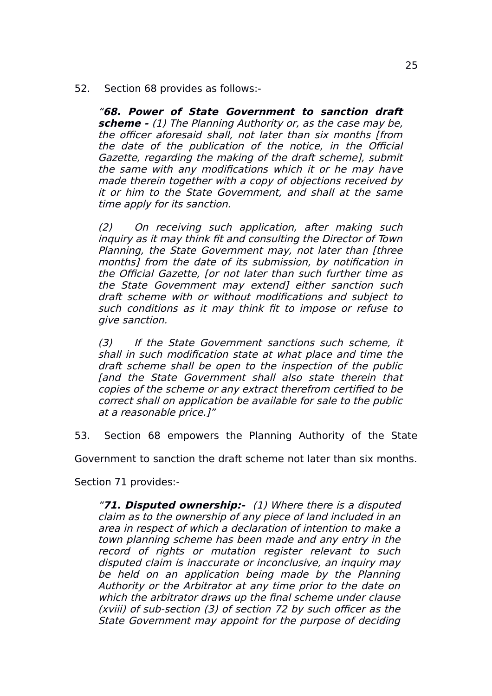52. Section 68 provides as follows:-

"**68. Power of State Government to sanction draft scheme -** (1) The Planning Authority or, as the case may be, the officer aforesaid shall, not later than six months [from the date of the publication of the notice, in the Official Gazette, regarding the making of the draft scheme], submit the same with any modifications which it or he may have made therein together with a copy of objections received by it or him to the State Government, and shall at the same time apply for its sanction.

(2) On receiving such application, after making such inquiry as it may think fit and consulting the Director of Town Planning, the State Government may, not later than [three months] from the date of its submission, by notification in the Official Gazette, [or not later than such further time as the State Government may extendl either sanction such draft scheme with or without modifications and subject to such conditions as it may think fit to impose or refuse to give sanction.

(3) If the State Government sanctions such scheme, it shall in such modification state at what place and time the draft scheme shall be open to the inspection of the public [and the State Government shall also state therein that copies of the scheme or any extract therefrom certified to be correct shall on application be available for sale to the public at a reasonable price.]"

53. Section 68 empowers the Planning Authority of the State

Government to sanction the draft scheme not later than six months.

Section 71 provides:-

"**71. Disputed ownership:-** (1) Where there is a disputed claim as to the ownership of any piece of land included in an area in respect of which a declaration of intention to make a town planning scheme has been made and any entry in the record of rights or mutation register relevant to such disputed claim is inaccurate or inconclusive, an inquiry may be held on an application being made by the Planning Authority or the Arbitrator at any time prior to the date on which the arbitrator draws up the final scheme under clause (xviii) of sub-section (3) of section 72 by such officer as the State Government may appoint for the purpose of deciding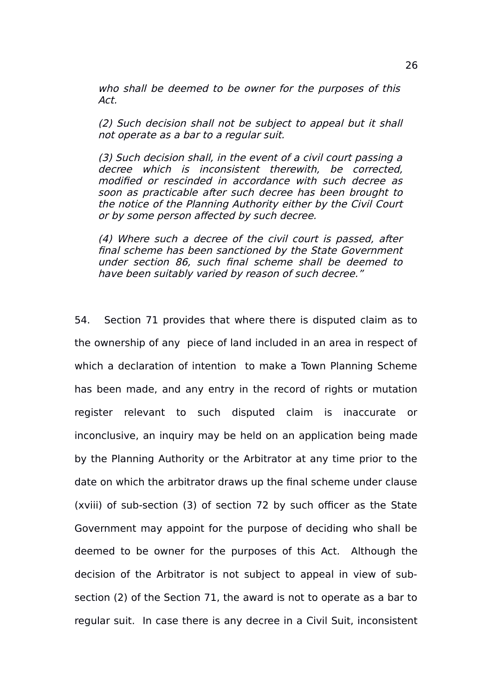who shall be deemed to be owner for the purposes of this Act.

(2) Such decision shall not be subject to appeal but it shall not operate as a bar to a regular suit.

(3) Such decision shall, in the event of a civil court passing a decree which is inconsistent therewith, be corrected, modified or rescinded in accordance with such decree as soon as practicable after such decree has been brought to the notice of the Planning Authority either by the Civil Court or by some person affected by such decree.

(4) Where such a decree of the civil court is passed, after final scheme has been sanctioned by the State Government under section 86, such final scheme shall be deemed to have been suitably varied by reason of such decree."

54. Section 71 provides that where there is disputed claim as to the ownership of any piece of land included in an area in respect of which a declaration of intention to make a Town Planning Scheme has been made, and any entry in the record of rights or mutation register relevant to such disputed claim is inaccurate or inconclusive, an inquiry may be held on an application being made by the Planning Authority or the Arbitrator at any time prior to the date on which the arbitrator draws up the final scheme under clause (xviii) of sub-section (3) of section 72 by such officer as the State Government may appoint for the purpose of deciding who shall be deemed to be owner for the purposes of this Act. Although the decision of the Arbitrator is not subject to appeal in view of subsection (2) of the Section 71, the award is not to operate as a bar to regular suit. In case there is any decree in a Civil Suit, inconsistent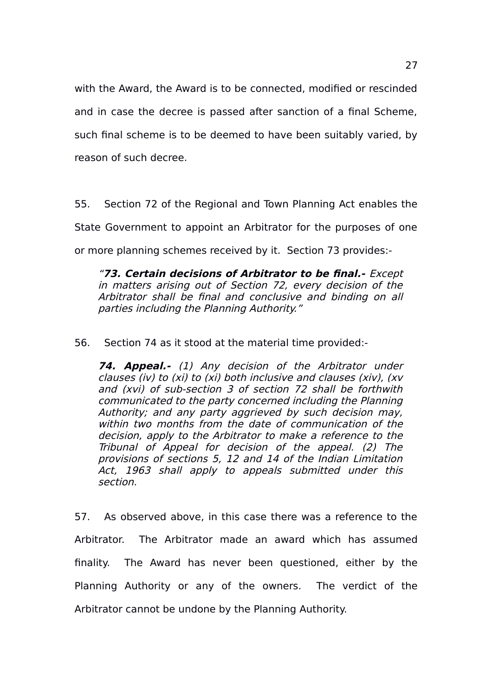with the Award, the Award is to be connected, modified or rescinded and in case the decree is passed after sanction of a final Scheme, such final scheme is to be deemed to have been suitably varied, by reason of such decree.

55. Section 72 of the Regional and Town Planning Act enables the State Government to appoint an Arbitrator for the purposes of one or more planning schemes received by it. Section 73 provides:-

"**73. Certain decisions of Arbitrator to be final.-** Except in matters arising out of Section 72, every decision of the Arbitrator shall be final and conclusive and binding on all parties including the Planning Authority."

56. Section 74 as it stood at the material time provided:-

**74. Appeal.-** (1) Any decision of the Arbitrator under clauses (iv) to (xi) to (xi) both inclusive and clauses (xiv), (xv and (xvi) of sub-section 3 of section 72 shall be forthwith communicated to the party concerned including the Planning Authority; and any party aggrieved by such decision may, within two months from the date of communication of the decision, apply to the Arbitrator to make a reference to the Tribunal of Appeal for decision of the appeal. (2) The provisions of sections 5, 12 and 14 of the Indian Limitation Act, 1963 shall apply to appeals submitted under this section.

57. As observed above, in this case there was a reference to the Arbitrator. The Arbitrator made an award which has assumed finality. The Award has never been questioned, either by the Planning Authority or any of the owners. The verdict of the Arbitrator cannot be undone by the Planning Authority.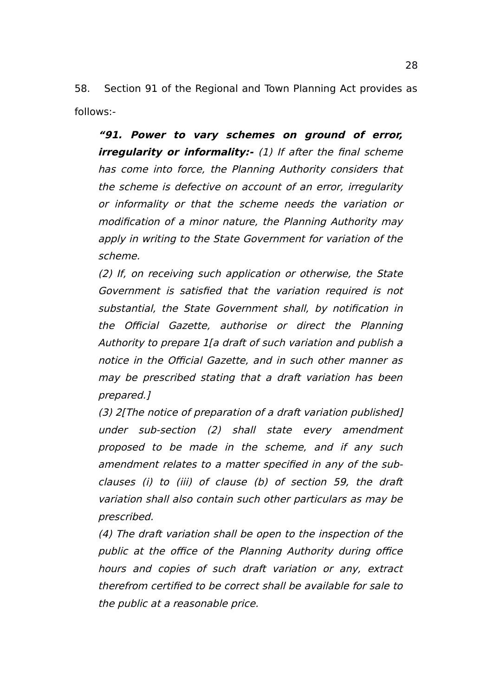58. Section 91 of the Regional and Town Planning Act provides as follows:-

**"91. Power to vary schemes on ground of error, irregularity or informality:-** (1) If after the final scheme has come into force, the Planning Authority considers that the scheme is defective on account of an error, irregularity or informality or that the scheme needs the variation or modification of a minor nature, the Planning Authority may apply in writing to the State Government for variation of the scheme.

(2) If, on receiving such application or otherwise, the State Government is satisfied that the variation required is not substantial, the State Government shall, by notification in the Official Gazette, authorise or direct the Planning Authority to prepare 1[a draft of such variation and publish a notice in the Official Gazette, and in such other manner as may be prescribed stating that a draft variation has been prepared.]

(3) 2[The notice of preparation of a draft variation published] under sub-section (2) shall state every amendment proposed to be made in the scheme, and if any such amendment relates to a matter specified in any of the subclauses (i) to (iii) of clause (b) of section 59, the draft variation shall also contain such other particulars as may be prescribed.

(4) The draft variation shall be open to the inspection of the public at the office of the Planning Authority during office hours and copies of such draft variation or any, extract therefrom certified to be correct shall be available for sale to the public at a reasonable price.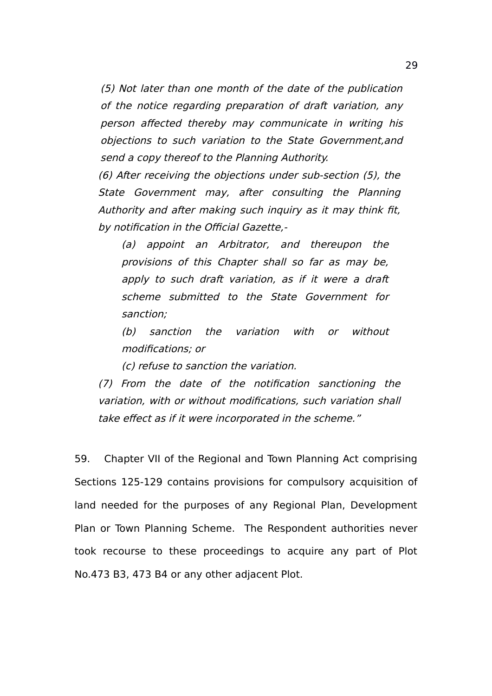(5) Not later than one month of the date of the publication of the notice regarding preparation of draft variation, any person affected thereby may communicate in writing his objections to such variation to the State Government,and send a copy thereof to the Planning Authority.

(6) After receiving the objections under sub-section (5), the State Government may, after consulting the Planning Authority and after making such inquiry as it may think fit, by notification in the Official Gazette,-

(a) appoint an Arbitrator, and thereupon the provisions of this Chapter shall so far as may be, apply to such draft variation, as if it were a draft scheme submitted to the State Government for sanction;

(b) sanction the variation with or without modifications; or

(c) refuse to sanction the variation.

(7) From the date of the notification sanctioning the variation, with or without modifications, such variation shall take effect as if it were incorporated in the scheme."

59. Chapter VII of the Regional and Town Planning Act comprising Sections 125-129 contains provisions for compulsory acquisition of land needed for the purposes of any Regional Plan, Development Plan or Town Planning Scheme. The Respondent authorities never took recourse to these proceedings to acquire any part of Plot No.473 B3, 473 B4 or any other adjacent Plot.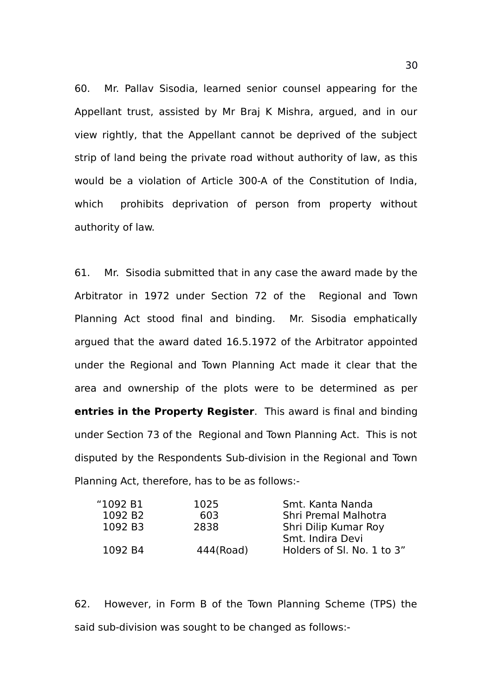60. Mr. Pallav Sisodia, learned senior counsel appearing for the Appellant trust, assisted by Mr Braj K Mishra, argued, and in our view rightly, that the Appellant cannot be deprived of the subject strip of land being the private road without authority of law, as this would be a violation of Article 300-A of the Constitution of India, which prohibits deprivation of person from property without authority of law.

61. Mr. Sisodia submitted that in any case the award made by the Arbitrator in 1972 under Section 72 of the Regional and Town Planning Act stood final and binding. Mr. Sisodia emphatically argued that the award dated 16.5.1972 of the Arbitrator appointed under the Regional and Town Planning Act made it clear that the area and ownership of the plots were to be determined as per **entries in the Property Register**. This award is final and binding under Section 73 of the Regional and Town Planning Act. This is not disputed by the Respondents Sub-division in the Regional and Town Planning Act, therefore, has to be as follows:-

| "1092 B1            | 1025      | Smt. Kanta Nanda           |
|---------------------|-----------|----------------------------|
| 1092 B <sub>2</sub> | 603       | Shri Premal Malhotra       |
| 1092 B3             | 2838      | Shri Dilip Kumar Roy       |
|                     |           | Smt. Indira Devi           |
| 1092 B4             | 444(Road) | Holders of SI, No. 1 to 3" |
|                     |           |                            |

62. However, in Form B of the Town Planning Scheme (TPS) the said sub-division was sought to be changed as follows:-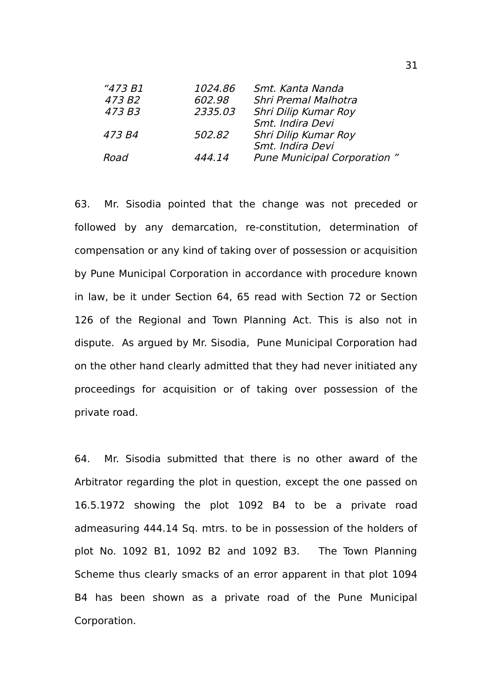| 1024.86 | Smt. Kanta Nanda                   |
|---------|------------------------------------|
| 602.98  | <b>Shri Premal Malhotra</b>        |
| 2335.03 | Shri Dilip Kumar Roy               |
|         | Smt. Indira Devi                   |
| 502.82  | Shri Dilip Kumar Roy               |
|         | Smt. Indira Devi                   |
| 444.14  | <b>Pune Municipal Corporation"</b> |
|         |                                    |

63. Mr. Sisodia pointed that the change was not preceded or followed by any demarcation, re-constitution, determination of compensation or any kind of taking over of possession or acquisition by Pune Municipal Corporation in accordance with procedure known in law, be it under Section 64, 65 read with Section 72 or Section 126 of the Regional and Town Planning Act. This is also not in dispute. As argued by Mr. Sisodia, Pune Municipal Corporation had on the other hand clearly admitted that they had never initiated any proceedings for acquisition or of taking over possession of the private road.

64. Mr. Sisodia submitted that there is no other award of the Arbitrator regarding the plot in question, except the one passed on 16.5.1972 showing the plot 1092 B4 to be a private road admeasuring 444.14 Sq. mtrs. to be in possession of the holders of plot No. 1092 B1, 1092 B2 and 1092 B3. The Town Planning Scheme thus clearly smacks of an error apparent in that plot 1094 B4 has been shown as a private road of the Pune Municipal Corporation.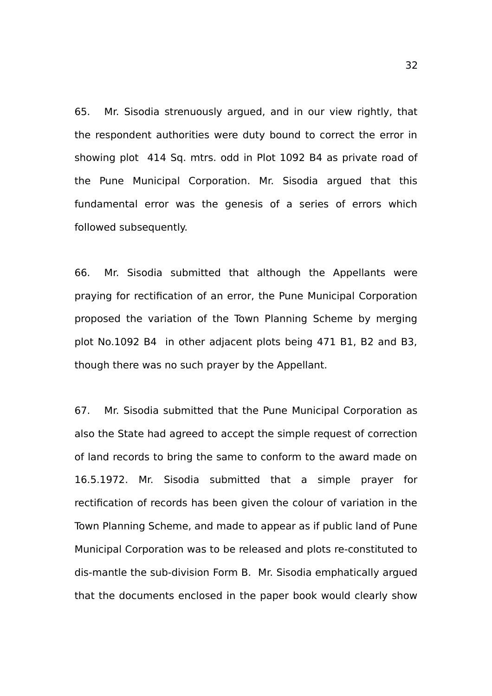65. Mr. Sisodia strenuously argued, and in our view rightly, that the respondent authorities were duty bound to correct the error in showing plot 414 Sq. mtrs. odd in Plot 1092 B4 as private road of the Pune Municipal Corporation. Mr. Sisodia argued that this fundamental error was the genesis of a series of errors which followed subsequently.

66. Mr. Sisodia submitted that although the Appellants were praying for rectification of an error, the Pune Municipal Corporation proposed the variation of the Town Planning Scheme by merging plot No.1092 B4 in other adjacent plots being 471 B1, B2 and B3, though there was no such prayer by the Appellant.

67. Mr. Sisodia submitted that the Pune Municipal Corporation as also the State had agreed to accept the simple request of correction of land records to bring the same to conform to the award made on 16.5.1972. Mr. Sisodia submitted that a simple prayer for rectification of records has been given the colour of variation in the Town Planning Scheme, and made to appear as if public land of Pune Municipal Corporation was to be released and plots re-constituted to dis-mantle the sub-division Form B. Mr. Sisodia emphatically argued that the documents enclosed in the paper book would clearly show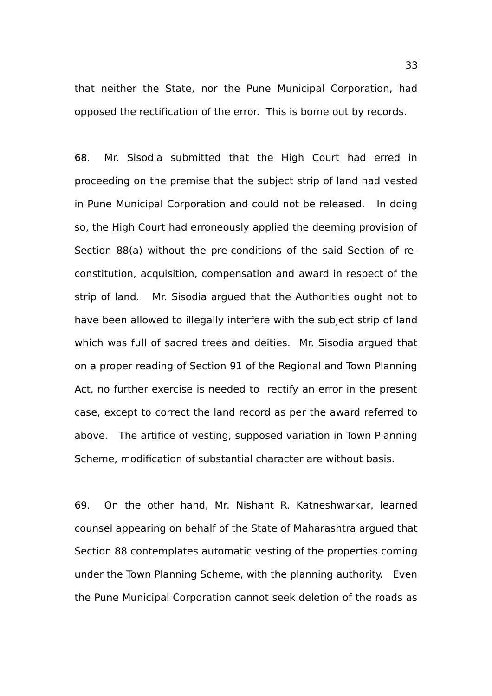that neither the State, nor the Pune Municipal Corporation, had opposed the rectification of the error. This is borne out by records.

68. Mr. Sisodia submitted that the High Court had erred in proceeding on the premise that the subject strip of land had vested in Pune Municipal Corporation and could not be released. In doing so, the High Court had erroneously applied the deeming provision of Section 88(a) without the pre-conditions of the said Section of reconstitution, acquisition, compensation and award in respect of the strip of land. Mr. Sisodia argued that the Authorities ought not to have been allowed to illegally interfere with the subject strip of land which was full of sacred trees and deities. Mr. Sisodia argued that on a proper reading of Section 91 of the Regional and Town Planning Act, no further exercise is needed to rectify an error in the present case, except to correct the land record as per the award referred to above. The artifice of vesting, supposed variation in Town Planning Scheme, modification of substantial character are without basis.

69. On the other hand, Mr. Nishant R. Katneshwarkar, learned counsel appearing on behalf of the State of Maharashtra argued that Section 88 contemplates automatic vesting of the properties coming under the Town Planning Scheme, with the planning authority. Even the Pune Municipal Corporation cannot seek deletion of the roads as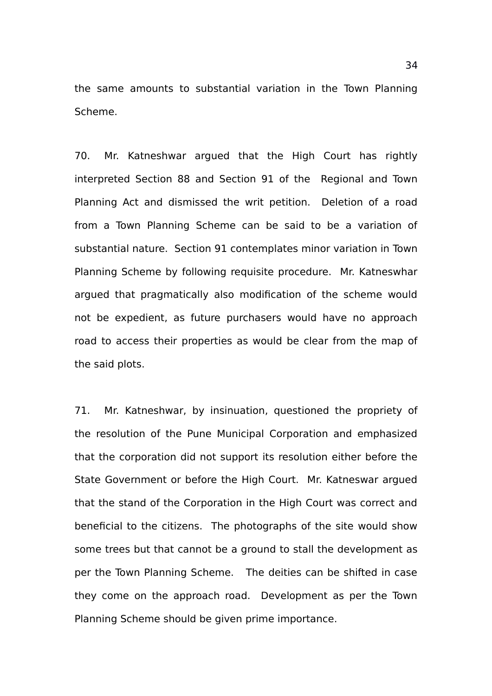the same amounts to substantial variation in the Town Planning Scheme.

70. Mr. Katneshwar argued that the High Court has rightly interpreted Section 88 and Section 91 of the Regional and Town Planning Act and dismissed the writ petition. Deletion of a road from a Town Planning Scheme can be said to be a variation of substantial nature. Section 91 contemplates minor variation in Town Planning Scheme by following requisite procedure. Mr. Katneswhar argued that pragmatically also modification of the scheme would not be expedient, as future purchasers would have no approach road to access their properties as would be clear from the map of the said plots.

71. Mr. Katneshwar, by insinuation, questioned the propriety of the resolution of the Pune Municipal Corporation and emphasized that the corporation did not support its resolution either before the State Government or before the High Court. Mr. Katneswar argued that the stand of the Corporation in the High Court was correct and beneficial to the citizens. The photographs of the site would show some trees but that cannot be a ground to stall the development as per the Town Planning Scheme. The deities can be shifted in case they come on the approach road. Development as per the Town Planning Scheme should be given prime importance.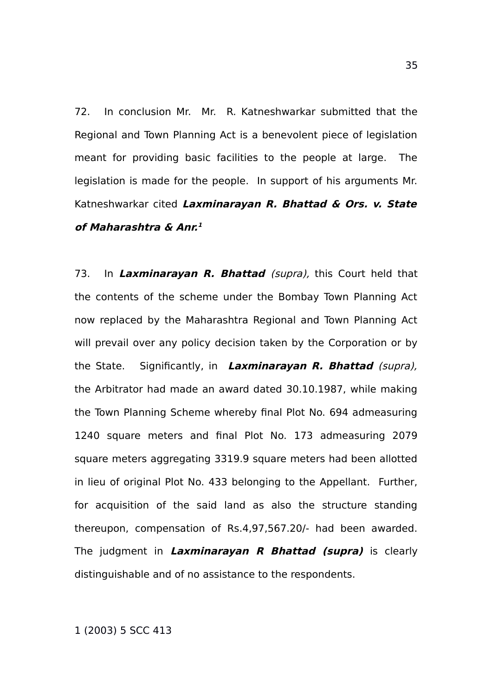72. In conclusion Mr. Mr. R. Katneshwarkar submitted that the Regional and Town Planning Act is a benevolent piece of legislation meant for providing basic facilities to the people at large. The legislation is made for the people. In support of his arguments Mr. Katneshwarkar cited **Laxminarayan R. Bhattad & Ors. v. State of Maharashtra & Anr. [1](#page-34-0)**

73. In **Laxminarayan R. Bhattad** (supra), this Court held that the contents of the scheme under the Bombay Town Planning Act now replaced by the Maharashtra Regional and Town Planning Act will prevail over any policy decision taken by the Corporation or by the State. Significantly, in **Laxminarayan R. Bhattad** (supra), the Arbitrator had made an award dated 30.10.1987, while making the Town Planning Scheme whereby final Plot No. 694 admeasuring 1240 square meters and final Plot No. 173 admeasuring 2079 square meters aggregating 3319.9 square meters had been allotted in lieu of original Plot No. 433 belonging to the Appellant. Further, for acquisition of the said land as also the structure standing thereupon, compensation of Rs.4,97,567.20/- had been awarded. The judgment in **Laxminarayan R Bhattad (supra)** is clearly distinguishable and of no assistance to the respondents.

<span id="page-34-0"></span>1 (2003) 5 SCC 413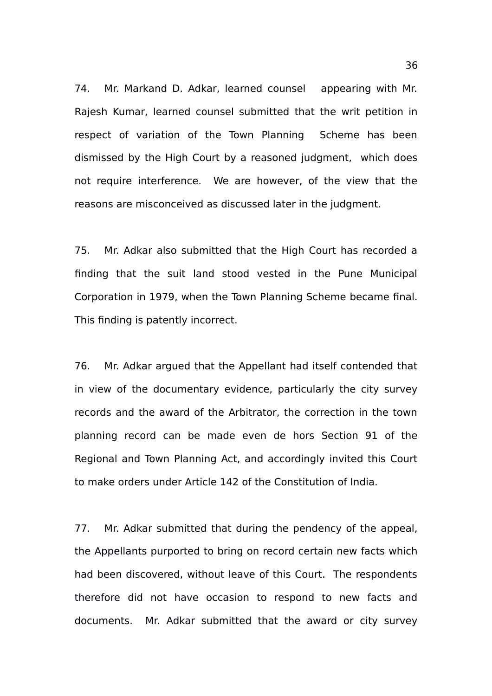74. Mr. Markand D. Adkar, learned counsel appearing with Mr. Rajesh Kumar, learned counsel submitted that the writ petition in respect of variation of the Town Planning Scheme has been dismissed by the High Court by a reasoned judgment, which does not require interference. We are however, of the view that the reasons are misconceived as discussed later in the judgment.

75. Mr. Adkar also submitted that the High Court has recorded a finding that the suit land stood vested in the Pune Municipal Corporation in 1979, when the Town Planning Scheme became final. This finding is patently incorrect.

76. Mr. Adkar argued that the Appellant had itself contended that in view of the documentary evidence, particularly the city survey records and the award of the Arbitrator, the correction in the town planning record can be made even de hors Section 91 of the Regional and Town Planning Act, and accordingly invited this Court to make orders under Article 142 of the Constitution of India.

77. Mr. Adkar submitted that during the pendency of the appeal, the Appellants purported to bring on record certain new facts which had been discovered, without leave of this Court. The respondents therefore did not have occasion to respond to new facts and documents. Mr. Adkar submitted that the award or city survey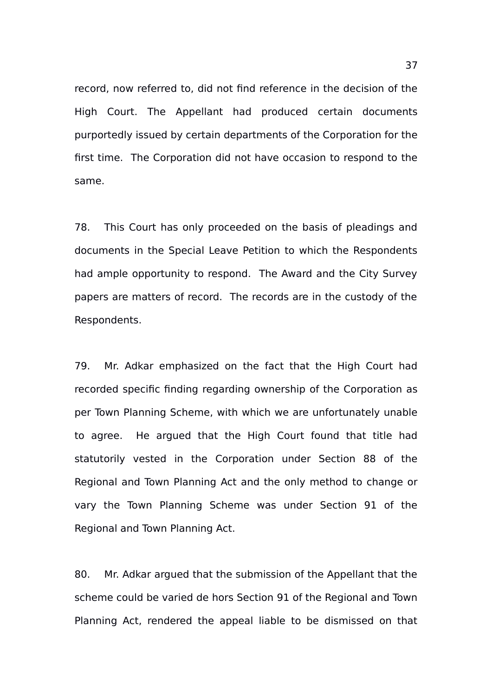record, now referred to, did not find reference in the decision of the High Court. The Appellant had produced certain documents purportedly issued by certain departments of the Corporation for the first time. The Corporation did not have occasion to respond to the same.

78. This Court has only proceeded on the basis of pleadings and documents in the Special Leave Petition to which the Respondents had ample opportunity to respond. The Award and the City Survey papers are matters of record. The records are in the custody of the Respondents.

79. Mr. Adkar emphasized on the fact that the High Court had recorded specific finding regarding ownership of the Corporation as per Town Planning Scheme, with which we are unfortunately unable to agree. He argued that the High Court found that title had statutorily vested in the Corporation under Section 88 of the Regional and Town Planning Act and the only method to change or vary the Town Planning Scheme was under Section 91 of the Regional and Town Planning Act.

80. Mr. Adkar argued that the submission of the Appellant that the scheme could be varied de hors Section 91 of the Regional and Town Planning Act, rendered the appeal liable to be dismissed on that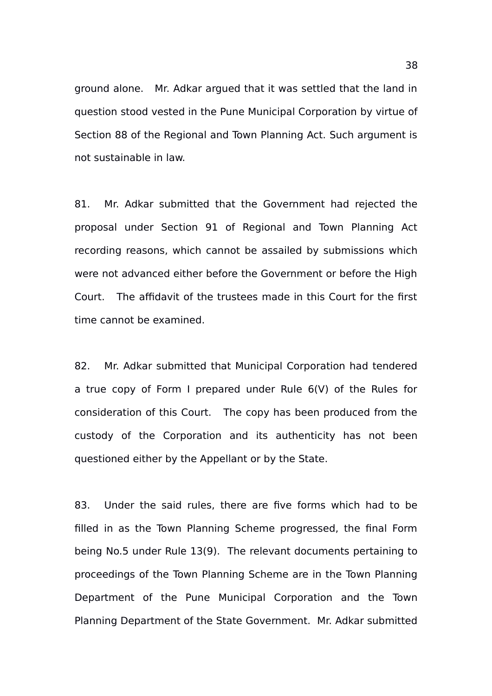ground alone. Mr. Adkar argued that it was settled that the land in question stood vested in the Pune Municipal Corporation by virtue of Section 88 of the Regional and Town Planning Act. Such argument is not sustainable in law.

81. Mr. Adkar submitted that the Government had rejected the proposal under Section 91 of Regional and Town Planning Act recording reasons, which cannot be assailed by submissions which were not advanced either before the Government or before the High Court. The affidavit of the trustees made in this Court for the first time cannot be examined.

82. Mr. Adkar submitted that Municipal Corporation had tendered a true copy of Form I prepared under Rule 6(V) of the Rules for consideration of this Court. The copy has been produced from the custody of the Corporation and its authenticity has not been questioned either by the Appellant or by the State.

83. Under the said rules, there are five forms which had to be filled in as the Town Planning Scheme progressed, the final Form being No.5 under Rule 13(9). The relevant documents pertaining to proceedings of the Town Planning Scheme are in the Town Planning Department of the Pune Municipal Corporation and the Town Planning Department of the State Government. Mr. Adkar submitted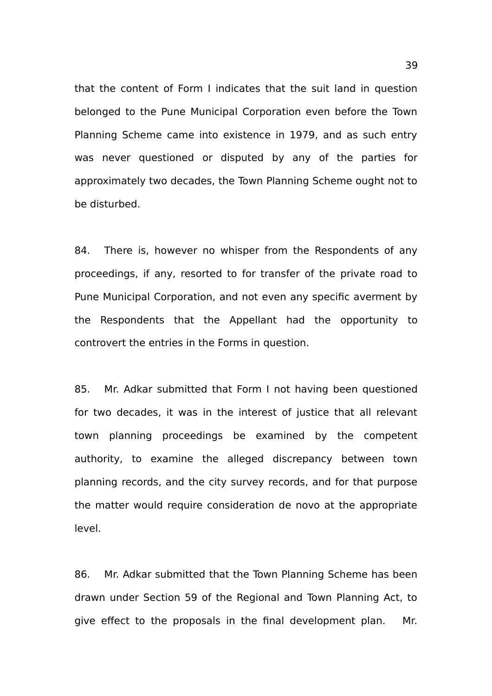that the content of Form I indicates that the suit land in question belonged to the Pune Municipal Corporation even before the Town Planning Scheme came into existence in 1979, and as such entry was never questioned or disputed by any of the parties for approximately two decades, the Town Planning Scheme ought not to be disturbed.

84. There is, however no whisper from the Respondents of any proceedings, if any, resorted to for transfer of the private road to Pune Municipal Corporation, and not even any specific averment by the Respondents that the Appellant had the opportunity to controvert the entries in the Forms in question.

85. Mr. Adkar submitted that Form I not having been questioned for two decades, it was in the interest of justice that all relevant town planning proceedings be examined by the competent authority, to examine the alleged discrepancy between town planning records, and the city survey records, and for that purpose the matter would require consideration de novo at the appropriate level.

86. Mr. Adkar submitted that the Town Planning Scheme has been drawn under Section 59 of the Regional and Town Planning Act, to give effect to the proposals in the final development plan. Mr.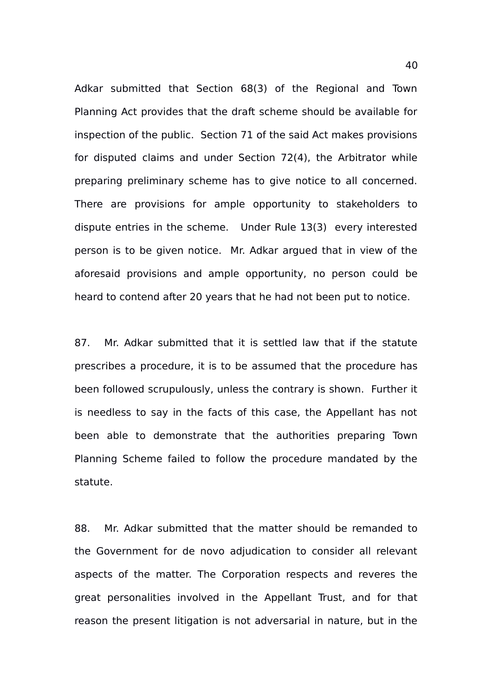Adkar submitted that Section 68(3) of the Regional and Town Planning Act provides that the draft scheme should be available for inspection of the public. Section 71 of the said Act makes provisions for disputed claims and under Section 72(4), the Arbitrator while preparing preliminary scheme has to give notice to all concerned. There are provisions for ample opportunity to stakeholders to dispute entries in the scheme. Under Rule 13(3) every interested person is to be given notice. Mr. Adkar argued that in view of the aforesaid provisions and ample opportunity, no person could be heard to contend after 20 years that he had not been put to notice.

87. Mr. Adkar submitted that it is settled law that if the statute prescribes a procedure, it is to be assumed that the procedure has been followed scrupulously, unless the contrary is shown. Further it is needless to say in the facts of this case, the Appellant has not been able to demonstrate that the authorities preparing Town Planning Scheme failed to follow the procedure mandated by the statute.

88. Mr. Adkar submitted that the matter should be remanded to the Government for de novo adjudication to consider all relevant aspects of the matter. The Corporation respects and reveres the great personalities involved in the Appellant Trust, and for that reason the present litigation is not adversarial in nature, but in the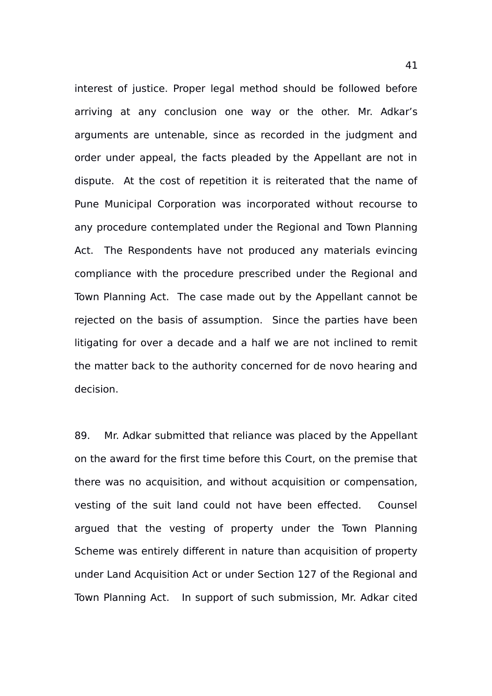interest of justice. Proper legal method should be followed before arriving at any conclusion one way or the other. Mr. Adkar's arguments are untenable, since as recorded in the judgment and order under appeal, the facts pleaded by the Appellant are not in dispute. At the cost of repetition it is reiterated that the name of Pune Municipal Corporation was incorporated without recourse to any procedure contemplated under the Regional and Town Planning Act. The Respondents have not produced any materials evincing compliance with the procedure prescribed under the Regional and Town Planning Act. The case made out by the Appellant cannot be rejected on the basis of assumption. Since the parties have been litigating for over a decade and a half we are not inclined to remit the matter back to the authority concerned for de novo hearing and decision.

89. Mr. Adkar submitted that reliance was placed by the Appellant on the award for the first time before this Court, on the premise that there was no acquisition, and without acquisition or compensation, vesting of the suit land could not have been effected. Counsel argued that the vesting of property under the Town Planning Scheme was entirely different in nature than acquisition of property under Land Acquisition Act or under Section 127 of the Regional and Town Planning Act. In support of such submission, Mr. Adkar cited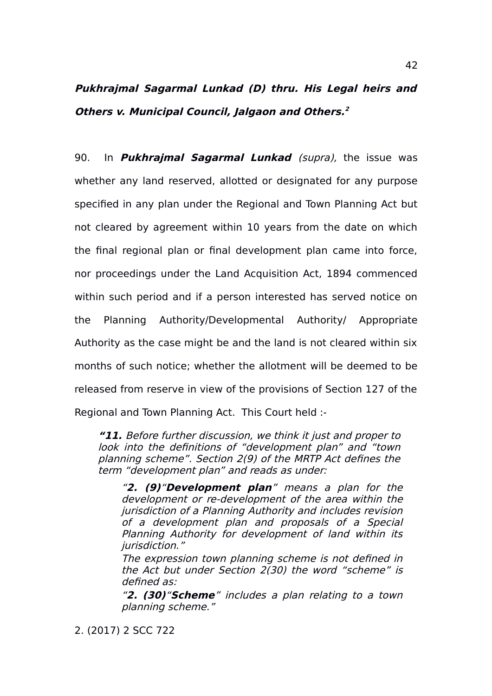# **Pukhrajmal Sagarmal Lunkad (D) thru. His Legal heirs and Others v. Municipal Council, Jalgaon and Others. [2](#page-41-0)**

90. In **Pukhrajmal Sagarmal Lunkad** (supra), the issue was whether any land reserved, allotted or designated for any purpose specified in any plan under the Regional and Town Planning Act but not cleared by agreement within 10 years from the date on which the final regional plan or final development plan came into force, nor proceedings under the Land Acquisition Act, 1894 commenced within such period and if a person interested has served notice on the Planning Authority/Developmental Authority/ Appropriate Authority as the case might be and the land is not cleared within six months of such notice; whether the allotment will be deemed to be released from reserve in view of the provisions of Section 127 of the Regional and Town Planning Act. This Court held :-

**"11.** Before further discussion, we think it just and proper to look into the definitions of "development plan" and "town planning scheme". Section 2(9) of the MRTP Act defines the term "development plan" and reads as under:

"**2. (9)**"**Development plan**" means <sup>a</sup> plan for the development or re-development of the area within the jurisdiction of a Planning Authority and includes revision of <sup>a</sup> development plan and proposals of <sup>a</sup> Special Planning Authority for development of land within its jurisdiction."

The expression town planning scheme is not defined in the Act but under Section 2(30) the word "scheme" is defined as:

"**2. (30)**"**Scheme**" includes a plan relating to a town planning scheme."

<span id="page-41-0"></span>2. (2017) 2 SCC 722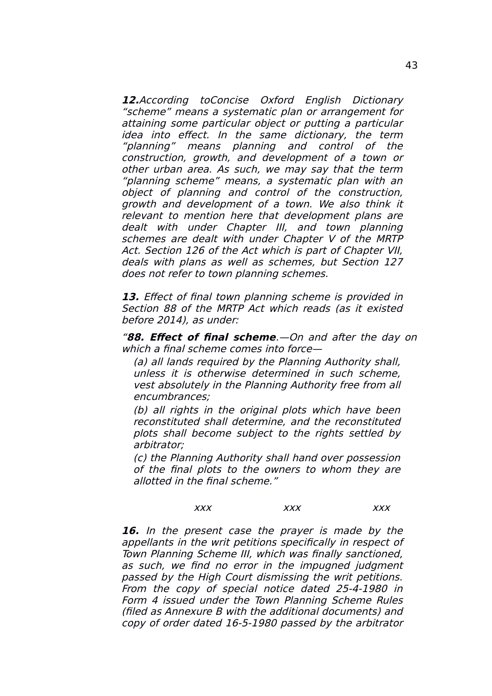**12.**According toConcise Oxford English Dictionary "scheme" means a systematic plan or arrangement for attaining some particular object or putting a particular idea into effect. In the same dictionary, the term "planning" means planning and control of the construction, growth, and development of <sup>a</sup> town or other urban area. As such, we may say that the term "planning scheme" means, a systematic plan with an object of planning and control of the construction, growth and development of a town. We also think it relevant to mention here that development plans are dealt with under Chapter III, and town planning schemes are dealt with under Chapter V of the MRTP Act. Section 126 of the Act which is part of Chapter VII, deals with plans as well as schemes, but Section 127 does not refer to town planning schemes.

**13.** Effect of final town planning scheme is provided in Section 88 of the MRTP Act which reads (as it existed before 2014), as under:

"**88. Effect of final scheme**.—On and after the day on which a final scheme comes into force—

(a) all lands required by the Planning Authority shall, unless it is otherwise determined in such scheme, vest absolutely in the Planning Authority free from all encumbrances;

(b) all rights in the original plots which have been reconstituted shall determine, and the reconstituted plots shall become subject to the rights settled by arbitrator;

(c) the Planning Authority shall hand over possession of the final plots to the owners to whom they are allotted in the final scheme."

#### xxx xxx xxx

**16.** In the present case the prayer is made by the appellants in the writ petitions specifically in respect of Town Planning Scheme III, which was finally sanctioned, as such, we find no error in the impugned judgment passed by the High Court dismissing the writ petitions. From the copy of special notice dated 25-4-1980 in Form 4 issued under the Town Planning Scheme Rules (filed as Annexure B with the additional documents) and copy of order dated 16-5-1980 passed by the arbitrator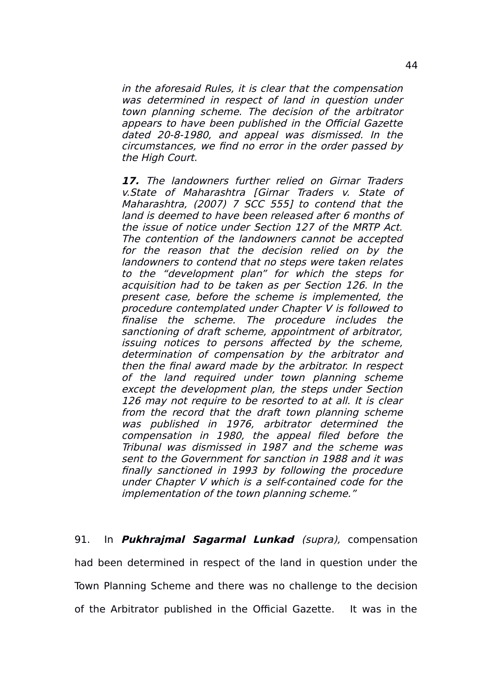in the aforesaid Rules, it is clear that the compensation was determined in respect of land in question under town planning scheme. The decision of the arbitrator appears to have been published in the Official Gazette dated 20-8-1980, and appeal was dismissed. In the circumstances, we find no error in the order passed by the High Court.

**17.** The landowners further relied on Girnar Traders v.State of Maharashtra [Girnar Traders v. State of Maharashtra, (2007) 7 SCC 555] to contend that the land is deemed to have been released after 6 months of the issue of notice under Section 127 of the MRTP Act. The contention of the landowners cannot be accepted for the reason that the decision relied on by the landowners to contend that no steps were taken relates to the "development plan" for which the steps for acquisition had to be taken as per Section 126. In the present case, before the scheme is implemented, the procedure contemplated under Chapter V is followed to finalise the scheme. The procedure includes the sanctioning of draft scheme, appointment of arbitrator, issuing notices to persons affected by the scheme, determination of compensation by the arbitrator and then the final award made by the arbitrator. In respect of the land required under town planning scheme except the development plan, the steps under Section 126 may not require to be resorted to at all. It is clear from the record that the draft town planning scheme was published in 1976, arbitrator determined the compensation in 1980, the appeal filed before the Tribunal was dismissed in 1987 and the scheme was sent to the Government for sanction in 1988 and it was finally sanctioned in 1993 by following the procedure under Chapter V which is a self-contained code for the implementation of the town planning scheme."

91. In **Pukhrajmal Sagarmal Lunkad** (supra), compensation had been determined in respect of the land in question under the Town Planning Scheme and there was no challenge to the decision of the Arbitrator published in the Official Gazette. It was in the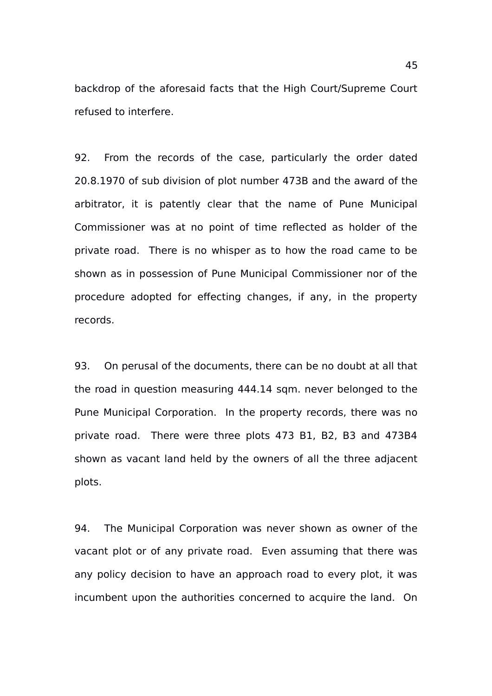backdrop of the aforesaid facts that the High Court/Supreme Court refused to interfere.

92. From the records of the case, particularly the order dated 20.8.1970 of sub division of plot number 473B and the award of the arbitrator, it is patently clear that the name of Pune Municipal Commissioner was at no point of time reflected as holder of the private road. There is no whisper as to how the road came to be shown as in possession of Pune Municipal Commissioner nor of the procedure adopted for effecting changes, if any, in the property records.

93. On perusal of the documents, there can be no doubt at all that the road in question measuring 444.14 sqm. never belonged to the Pune Municipal Corporation. In the property records, there was no private road. There were three plots 473 B1, B2, B3 and 473B4 shown as vacant land held by the owners of all the three adjacent plots.

94. The Municipal Corporation was never shown as owner of the vacant plot or of any private road. Even assuming that there was any policy decision to have an approach road to every plot, it was incumbent upon the authorities concerned to acquire the land. On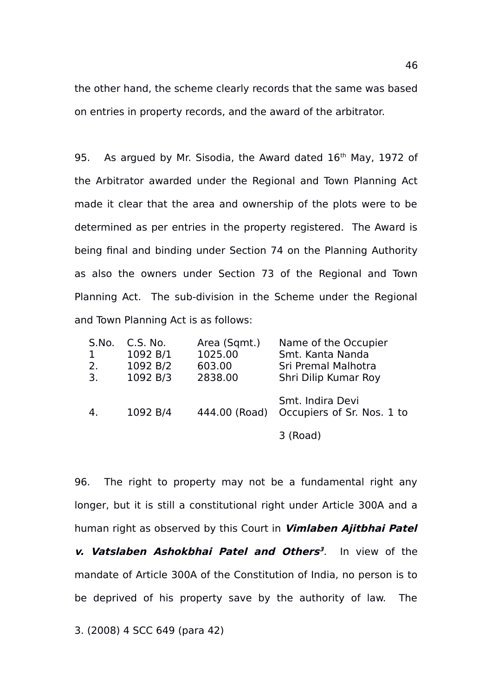the other hand, the scheme clearly records that the same was based on entries in property records, and the award of the arbitrator.

95. As argued by Mr. Sisodia, the Award dated 16<sup>th</sup> May, 1972 of the Arbitrator awarded under the Regional and Town Planning Act made it clear that the area and ownership of the plots were to be determined as per entries in the property registered. The Award is being final and binding under Section 74 on the Planning Authority as also the owners under Section 73 of the Regional and Town Planning Act. The sub-division in the Scheme under the Regional and Town Planning Act is as follows:

| S.No.<br>1<br>2.<br>$\overline{3}$ . | C.S. No.<br>1092 B/1<br>1092 B/2<br>1092 B/3 | Area (Sqmt.)<br>1025.00<br>603.00<br>2838.00 | Name of the Occupier<br>Smt. Kanta Nanda<br>Sri Premal Malhotra<br>Shri Dilip Kumar Roy |
|--------------------------------------|----------------------------------------------|----------------------------------------------|-----------------------------------------------------------------------------------------|
|                                      | 1092 B/4                                     | 444.00 (Road)                                | Smt. Indira Devi<br>Occupiers of Sr. Nos. 1 to                                          |
|                                      |                                              |                                              | 3 (Road)                                                                                |

96. The right to property may not be a fundamental right any longer, but it is still a constitutional right under Article 300A and a human right as observed by this Court in **Vimlaben Ajitbhai Patel**

**v. Vatslaben Ashokbhai Patel and Others [3](#page-45-0)** . In view of the mandate of Article 300A of the Constitution of India, no person is to be deprived of his property save by the authority of law. The

<span id="page-45-0"></span>3. (2008) 4 SCC 649 (para 42)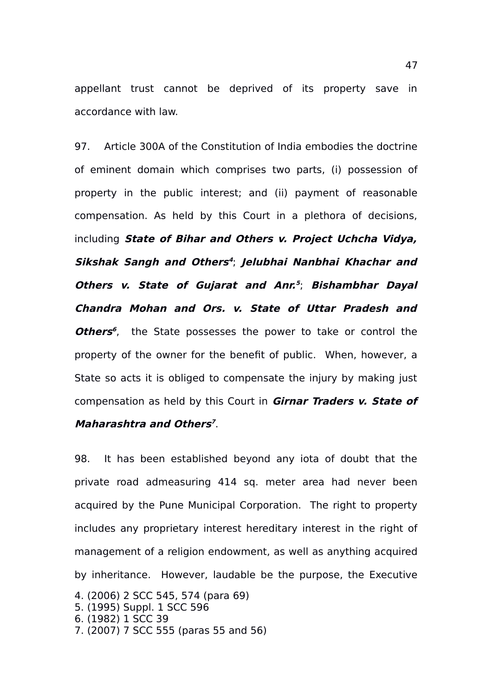appellant trust cannot be deprived of its property save in accordance with law.

97. Article 300A of the Constitution of India embodies the doctrine of eminent domain which comprises two parts, (i) possession of property in the public interest; and (ii) payment of reasonable compensation. As held by this Court in a plethora of decisions, including **State of Bihar and Others v. Project Uchcha Vidya, Sikshak Sangh and Others [4](#page-46-0)** ; **Jelubhai Nanbhai Khachar and Others v. State of Gujarat and Anr. [5](#page-46-1)** ; **Bishambhar Dayal Chandra Mohan and Ors. v. State of Uttar Pradesh and Others<sup>[6](#page-46-2)</sup>**, the State possesses the power to take or control the property of the owner for the benefit of public. When, however, a State so acts it is obliged to compensate the injury by making just compensation as held by this Court in **Girnar Traders v. State of Maharashtra and Others [7](#page-46-3)** .

98. It has been established beyond any iota of doubt that the private road admeasuring 414 sq. meter area had never been acquired by the Pune Municipal Corporation. The right to property includes any proprietary interest hereditary interest in the right of management of a religion endowment, as well as anything acquired by inheritance. However, laudable be the purpose, the Executive 4. (2006) 2 SCC 545, 574 (para 69)

- <span id="page-46-1"></span><span id="page-46-0"></span>5. (1995) Suppl. 1 SCC 596
- <span id="page-46-2"></span>6. (1982) 1 SCC 39
- <span id="page-46-3"></span>7. (2007) 7 SCC 555 (paras 55 and 56)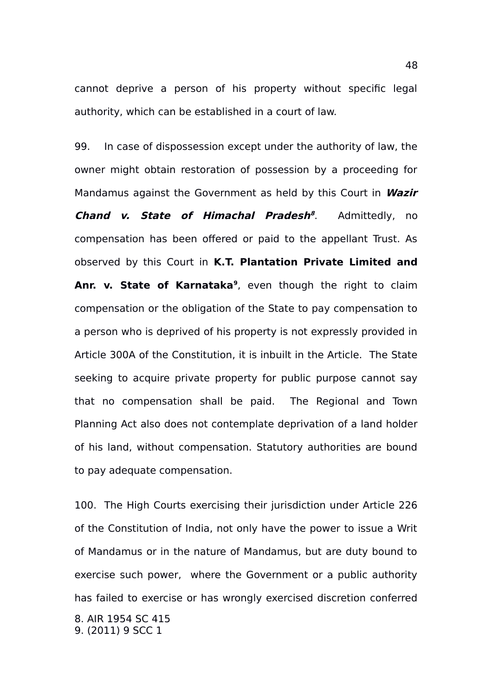cannot deprive a person of his property without specific legal authority, which can be established in a court of law.

99. In case of dispossession except under the authority of law, the owner might obtain restoration of possession by a proceeding for Mandamus against the Government as held by this Court in **Wazir Chand v. State of Himachal Pradesh [8](#page-47-0)** . Admittedly, no compensation has been offered or paid to the appellant Trust. As observed by this Court in **K.T. Plantation Private Limited and Anr. v. State of Karnataka[9](#page-47-1)** , even though the right to claim compensation or the obligation of the State to pay compensation to a person who is deprived of his property is not expressly provided in Article 300A of the Constitution, it is inbuilt in the Article. The State seeking to acquire private property for public purpose cannot say that no compensation shall be paid. The Regional and Town Planning Act also does not contemplate deprivation of a land holder of his land, without compensation. Statutory authorities are bound to pay adequate compensation.

<span id="page-47-1"></span><span id="page-47-0"></span>100. The High Courts exercising their jurisdiction under Article 226 of the Constitution of India, not only have the power to issue a Writ of Mandamus or in the nature of Mandamus, but are duty bound to exercise such power, where the Government or a public authority has failed to exercise or has wrongly exercised discretion conferred 8. AIR 1954 SC 415 9. (2011) 9 SCC 1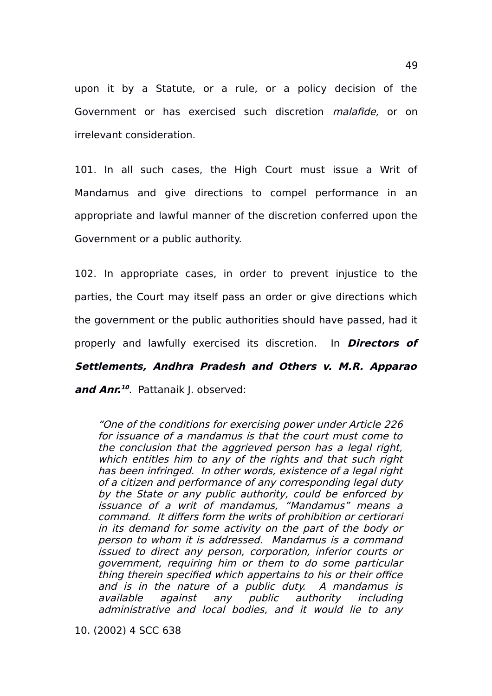upon it by a Statute, or a rule, or a policy decision of the Government or has exercised such discretion *malafide*, or on irrelevant consideration.

101. In all such cases, the High Court must issue a Writ of Mandamus and give directions to compel performance in an appropriate and lawful manner of the discretion conferred upon the Government or a public authority.

102. In appropriate cases, in order to prevent injustice to the parties, the Court may itself pass an order or give directions which the government or the public authorities should have passed, had it properly and lawfully exercised its discretion. In **Directors of Settlements, Andhra Pradesh and Others v. M.R. Apparao**

**and Anr. [10](#page-48-0)** . Pattanaik J. observed:

"One of the conditions for exercising power under Article 226 for issuance of a mandamus is that the court must come to the conclusion that the aggrieved person has a legal right, which entitles him to any of the rights and that such right has been infringed. In other words, existence of a legal right of a citizen and performance of any corresponding legal duty by the State or any public authority, could be enforced by issuance of <sup>a</sup> writ of mandamus, "Mandamus" means <sup>a</sup> command. It differs form the writs of prohibition or certiorari in its demand for some activity on the part of the body or person to whom it is addressed. Mandamus is a command issued to direct any person, corporation, inferior courts or government, requiring him or them to do some particular thing therein specified which appertains to his or their office and is in the nature of <sup>a</sup> public duty. A mandamus is available against any public authority including administrative and local bodies, and it would lie to any

<span id="page-48-0"></span>10. (2002) 4 SCC 638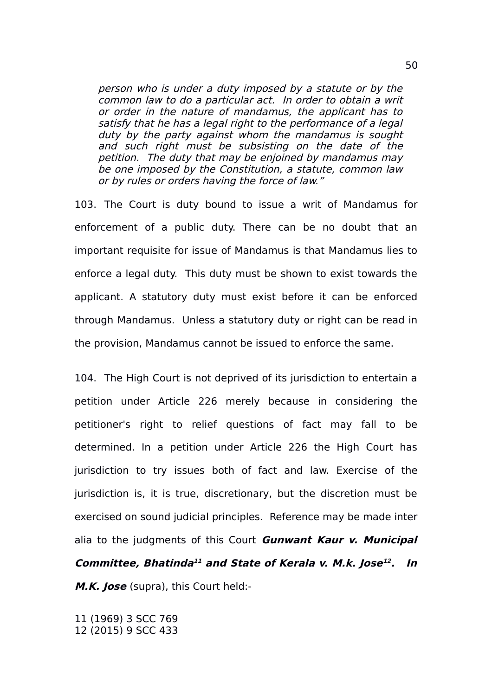person who is under a duty imposed by a statute or by the common law to do a particular act. In order to obtain a writ or order in the nature of mandamus, the applicant has to satisfy that he has a legal right to the performance of a legal duty by the party against whom the mandamus is sought and such right must be subsisting on the date of the petition. The duty that may be enjoined by mandamus may be one imposed by the Constitution, a statute, common law or by rules or orders having the force of law."

103. The Court is duty bound to issue a writ of Mandamus for enforcement of a public duty. There can be no doubt that an important requisite for issue of Mandamus is that Mandamus lies to enforce a legal duty. This duty must be shown to exist towards the applicant. A statutory duty must exist before it can be enforced through Mandamus. Unless a statutory duty or right can be read in the provision, Mandamus cannot be issued to enforce the same.

104. The High Court is not deprived of its jurisdiction to entertain a petition under Article 226 merely because in considering the petitioner's right to relief questions of fact may fall to be determined. In a petition under Article 226 the High Court has jurisdiction to try issues both of fact and law. Exercise of the jurisdiction is, it is true, discretionary, but the discretion must be exercised on sound judicial principles. Reference may be made inter alia to the judgments of this Court **Gunwant Kaur v. Municipal** Committee, Bhatinda<sup>[11](#page-49-0)</sup> and State of Kerala v. M.k. Jose<sup>[12](#page-49-1)</sup>. In **M.K. Jose** (supra), this Court held:-

<span id="page-49-1"></span><span id="page-49-0"></span>11 (1969) 3 SCC 769 12 (2015) 9 SCC 433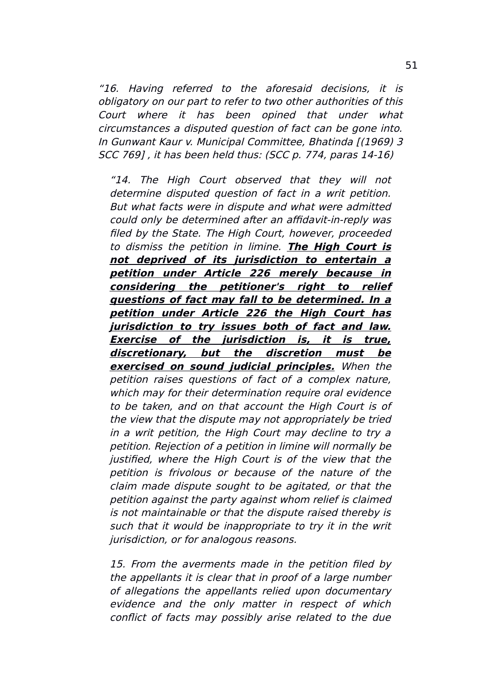"16. Having referred to the aforesaid decisions, it is obligatory on our part to refer to two other authorities of this Court where it has been opined that under what circumstances a disputed question of fact can be gone into. In Gunwant Kaur v. Municipal Committee, Bhatinda [(1969) 3 SCC 769] , it has been held thus: (SCC p. 774, paras 14-16)

"14. The High Court observed that they will not determine disputed question of fact in a writ petition. But what facts were in dispute and what were admitted could only be determined after an affidavit-in-reply was filed by the State. The High Court, however, proceeded to dismiss the petition in limine. **The High Court is not deprived of its jurisdiction to entertain <sup>a</sup> petition under Article 226 merely because in considering the petitioner's right to relief questions of fact may fall to be determined. In a petition under Article 226 the High Court has jurisdiction to try issues both of fact and law. Exercise of the jurisdiction is, it is true, discretionary, but the discretion must be exercised on sound judicial principles.** When the petition raises questions of fact of a complex nature, which may for their determination require oral evidence to be taken, and on that account the High Court is of the view that the dispute may not appropriately be tried in a writ petition, the High Court may decline to try a petition. Rejection of a petition in limine will normally be justified, where the High Court is of the view that the petition is frivolous or because of the nature of the claim made dispute sought to be agitated, or that the petition against the party against whom relief is claimed is not maintainable or that the dispute raised thereby is such that it would be inappropriate to try it in the writ jurisdiction, or for analogous reasons.

15. From the averments made in the petition filed by the appellants it is clear that in proof of a large number of allegations the appellants relied upon documentary evidence and the only matter in respect of which conflict of facts may possibly arise related to the due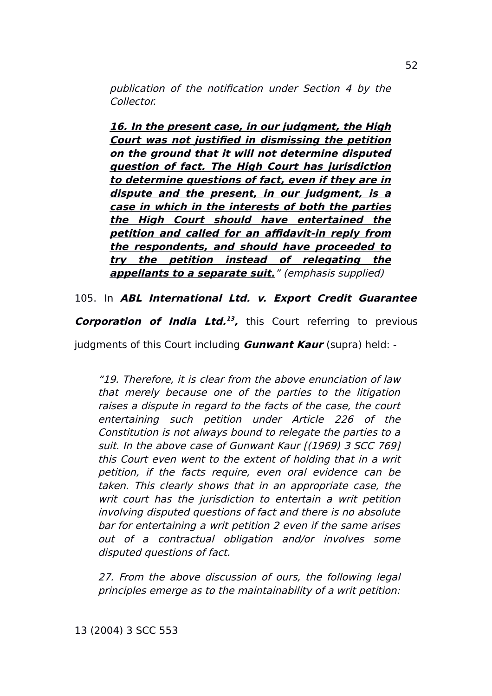publication of the notification under Section 4 by the Collector.

**16. In the present case, in our judgment, the High Court was not justified in dismissing the petition on the ground that it will not determine disputed question of fact. The High Court has jurisdiction to determine questions of fact, even if they are in dispute and the present, in our judgment, is <sup>a</sup> case in which in the interests of both the parties the High Court should have entertained the petition and called for an affidavit-in reply from the respondents, and should have proceeded to try the petition instead of relegating the appellants to a separate suit.**" (emphasis supplied)

105. In **ABL International Ltd. v. Export Credit Guarantee**

**Corporation of India Ltd. [13](#page-51-0) ,** this Court referring to previous

judgments of this Court including **Gunwant Kaur** (supra) held: -

"19. Therefore, it is clear from the above enunciation of law that merely because one of the parties to the litigation raises a dispute in regard to the facts of the case, the court entertaining such petition under Article 226 of the Constitution is not always bound to relegate the parties to a suit. In the above case of Gunwant Kaur [(1969) 3 SCC 769] this Court even went to the extent of holding that in a writ petition, if the facts require, even oral evidence can be taken. This clearly shows that in an appropriate case, the writ court has the jurisdiction to entertain a writ petition involving disputed questions of fact and there is no absolute bar for entertaining a writ petition 2 even if the same arises out of <sup>a</sup> contractual obligation and/or involves some disputed questions of fact.

<span id="page-51-0"></span>27. From the above discussion of ours, the following legal principles emerge as to the maintainability of a writ petition: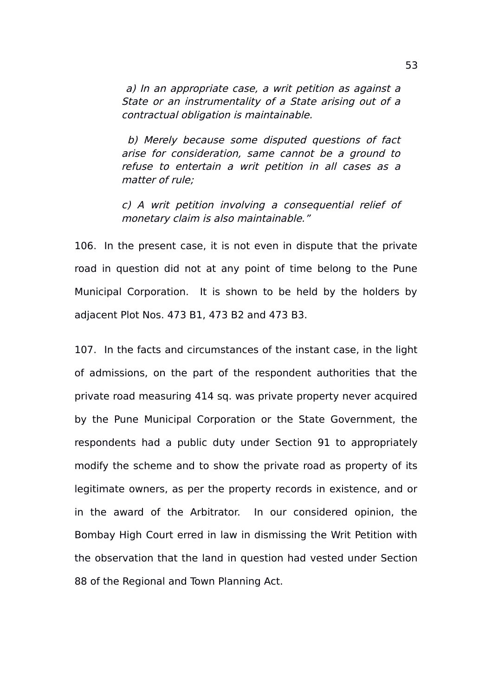a) In an appropriate case, a writ petition as against a State or an instrumentality of a State arising out of a contractual obligation is maintainable.

 b) Merely because some disputed questions of fact arise for consideration, same cannot be a ground to refuse to entertain <sup>a</sup> writ petition in all cases as <sup>a</sup> matter of rule;

c) A writ petition involving a consequential relief of monetary claim is also maintainable."

106. In the present case, it is not even in dispute that the private road in question did not at any point of time belong to the Pune Municipal Corporation. It is shown to be held by the holders by adjacent Plot Nos. 473 B1, 473 B2 and 473 B3.

107. In the facts and circumstances of the instant case, in the light of admissions, on the part of the respondent authorities that the private road measuring 414 sq. was private property never acquired by the Pune Municipal Corporation or the State Government, the respondents had a public duty under Section 91 to appropriately modify the scheme and to show the private road as property of its legitimate owners, as per the property records in existence, and or in the award of the Arbitrator. In our considered opinion, the Bombay High Court erred in law in dismissing the Writ Petition with the observation that the land in question had vested under Section 88 of the Regional and Town Planning Act.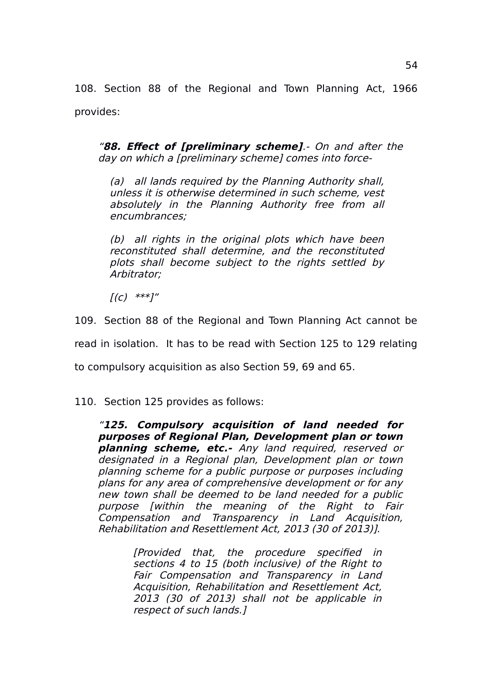108. Section 88 of the Regional and Town Planning Act, 1966 provides:

"**88. Effect of [preliminary scheme]**.- On and after the day on which a [preliminary scheme] comes into force-

(a) all lands required by the Planning Authority shall, unless it is otherwise determined in such scheme, vest absolutely in the Planning Authority free from all encumbrances;

(b) all rights in the original plots which have been reconstituted shall determine, and the reconstituted plots shall become subject to the rights settled by Arbitrator;

 $[(c)$  \*\*\*]"

109. Section 88 of the Regional and Town Planning Act cannot be read in isolation. It has to be read with Section 125 to 129 relating

to compulsory acquisition as also Section 59, 69 and 65.

110. Section 125 provides as follows:

"**125. Compulsory acquisition of land needed for purposes of Regional Plan, Development plan or town planning scheme, etc.-** Any land required, reserved or designated in a Regional plan, Development plan or town planning scheme for a public purpose or purposes including plans for any area of comprehensive development or for any new town shall be deemed to be land needed for a public purpose [within the meaning of the Right to Fair Compensation and Transparency in Land Acquisition, Rehabilitation and Resettlement Act, 2013 (30 of 2013)].

> [Provided that, the procedure specified in sections 4 to 15 (both inclusive) of the Right to Fair Compensation and Transparency in Land Acquisition, Rehabilitation and Resettlement Act, 2013 (30 of 2013) shall not be applicable in respect of such lands.]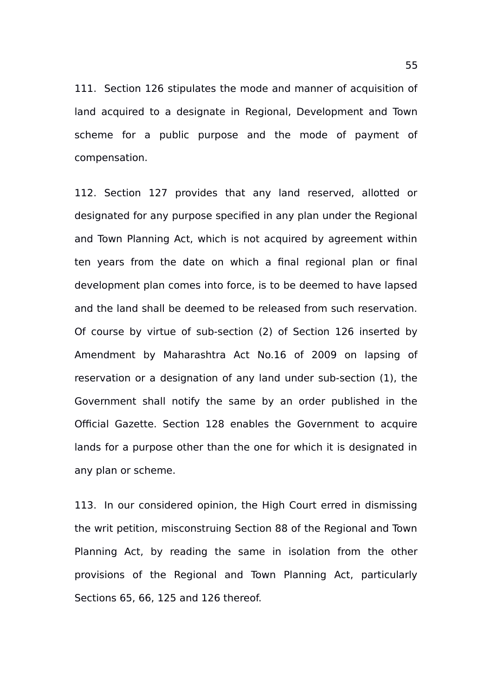111. Section 126 stipulates the mode and manner of acquisition of land acquired to a designate in Regional, Development and Town scheme for a public purpose and the mode of payment of compensation.

112. Section 127 provides that any land reserved, allotted or designated for any purpose specified in any plan under the Regional and Town Planning Act, which is not acquired by agreement within ten years from the date on which a final regional plan or final development plan comes into force, is to be deemed to have lapsed and the land shall be deemed to be released from such reservation. Of course by virtue of sub-section (2) of Section 126 inserted by Amendment by Maharashtra Act No.16 of 2009 on lapsing of reservation or a designation of any land under sub-section (1), the Government shall notify the same by an order published in the Official Gazette. Section 128 enables the Government to acquire lands for a purpose other than the one for which it is designated in any plan or scheme.

113. In our considered opinion, the High Court erred in dismissing the writ petition, misconstruing Section 88 of the Regional and Town Planning Act, by reading the same in isolation from the other provisions of the Regional and Town Planning Act, particularly Sections 65, 66, 125 and 126 thereof.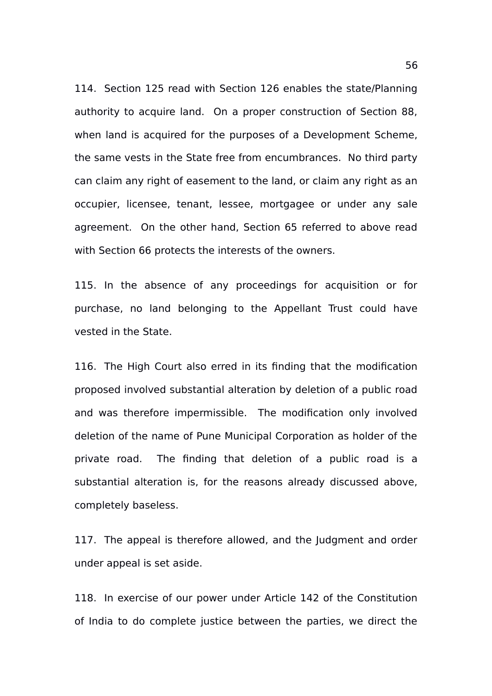114. Section 125 read with Section 126 enables the state/Planning authority to acquire land. On a proper construction of Section 88, when land is acquired for the purposes of a Development Scheme, the same vests in the State free from encumbrances. No third party can claim any right of easement to the land, or claim any right as an occupier, licensee, tenant, lessee, mortgagee or under any sale agreement. On the other hand, Section 65 referred to above read with Section 66 protects the interests of the owners.

115. In the absence of any proceedings for acquisition or for purchase, no land belonging to the Appellant Trust could have vested in the State.

116. The High Court also erred in its finding that the modification proposed involved substantial alteration by deletion of a public road and was therefore impermissible. The modification only involved deletion of the name of Pune Municipal Corporation as holder of the private road. The finding that deletion of a public road is a substantial alteration is, for the reasons already discussed above, completely baseless.

117. The appeal is therefore allowed, and the Judgment and order under appeal is set aside.

118. In exercise of our power under Article 142 of the Constitution of India to do complete justice between the parties, we direct the